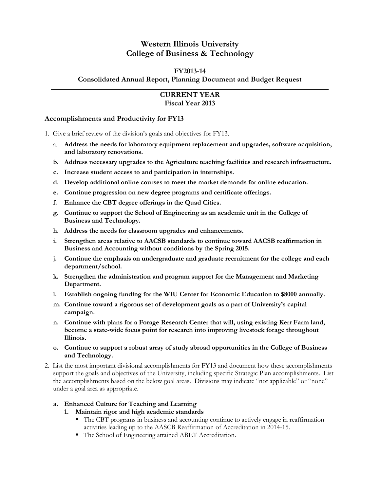# **Western Illinois University College of Business & Technology**

# **FY2013-14**

**Consolidated Annual Report, Planning Document and Budget Request**

# **CURRENT YEAR Fiscal Year 2013**

#### **Accomplishments and Productivity for FY13**

1. Give a brief review of the division's goals and objectives for FY13.

- a. **Address the needs for laboratory equipment replacement and upgrades, software acquisition, and laboratory renovations.**
- **b. Address necessary upgrades to the Agriculture teaching facilities and research infrastructure.**
- **c. Increase student access to and participation in internships.**
- **d. Develop additional online courses to meet the market demands for online education.**
- **e. Continue progression on new degree programs and certificate offerings.**
- **f. Enhance the CBT degree offerings in the Quad Cities.**
- **g. Continue to support the School of Engineering as an academic unit in the College of Business and Technology.**
- **h. Address the needs for classroom upgrades and enhancements.**
- **i. Strengthen areas relative to AACSB standards to continue toward AACSB reaffirmation in Business and Accounting without conditions by the Spring 2015.**
- **j. Continue the emphasis on undergraduate and graduate recruitment for the college and each department/school.**
- **k. Strengthen the administration and program support for the Management and Marketing Department.**
- **l. Establish ongoing funding for the WIU Center for Economic Education to \$8000 annually.**
- **m. Continue toward a rigorous set of development goals as a part of University's capital campaign.**
- **n. Continue with plans for a Forage Research Center that will, using existing Kerr Farm land, become a state-wide focus point for research into improving livestock forage throughout Illinois.**
- **o. Continue to support a robust array of study abroad opportunities in the College of Business and Technology.**
- 2. List the most important divisional accomplishments for FY13 and document how these accomplishments support the goals and objectives of the University, including specific Strategic Plan accomplishments. List the accomplishments based on the below goal areas. Divisions may indicate "not applicable" or "none" under a goal area as appropriate.

## **a. Enhanced Culture for Teaching and Learning**

- **1. Maintain rigor and high academic standards**
	- The CBT programs in business and accounting continue to actively engage in reaffirmation activities leading up to the AASCB Reaffirmation of Accreditation in 2014-15.
	- The School of Engineering attained ABET Accreditation.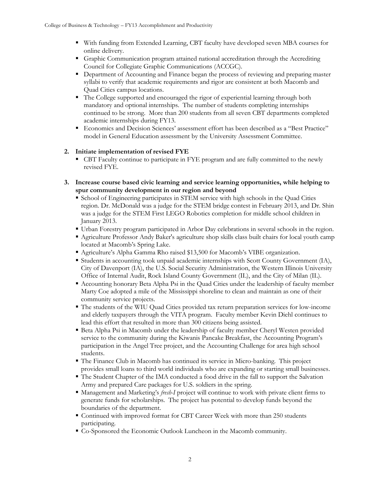- With funding from Extended Learning, CBT faculty have developed seven MBA courses for online delivery.
- Graphic Communication program attained national accreditation through the Accrediting Council for Collegiate Graphic Communications (ACCGC).
- **Department of Accounting and Finance began the process of reviewing and preparing master** syllabi to verify that academic requirements and rigor are consistent at both Macomb and Quad Cities campus locations.
- The College supported and encouraged the rigor of experiential learning through both mandatory and optional internships. The number of students completing internships continued to be strong. More than 200 students from all seven CBT departments completed academic internships during FY13.
- Economics and Decision Sciences' assessment effort has been described as a "Best Practice" model in General Education assessment by the University Assessment Committee.

## **2. Initiate implementation of revised FYE**

- CBT Faculty continue to participate in FYE program and are fully committed to the newly revised FYE.
- **3. Increase course based civic learning and service learning opportunities, while helping to spur community development in our region and beyond**
	- **School of Engineering participates in STEM service with high schools in the Quad Cities** region. Dr. McDonald was a judge for the STEM bridge contest in February 2013, and Dr. Shin was a judge for the STEM First LEGO Robotics completion for middle school children in January 2013.
	- Urban Forestry program participated in Arbor Day celebrations in several schools in the region.
	- Agriculture Professor Andy Baker's agriculture shop skills class built chairs for local youth camp located at Macomb's Spring Lake.
	- Agriculture's Alpha Gamma Rho raised \$13,500 for Macomb's VIBE organization.
	- Students in accounting took unpaid academic internships with Scott County Government (IA), City of Davenport (IA), the U.S. Social Security Administration, the Western Illinois University Office of Internal Audit, Rock Island County Government (IL), and the City of Milan (IL).
	- Accounting honorary Beta Alpha Psi in the Quad Cities under the leadership of faculty member Marty Coe adopted a mile of the Mississippi shoreline to clean and maintain as one of their community service projects.
	- The students of the WIU Quad Cities provided tax return preparation services for low-income and elderly taxpayers through the VITA program. Faculty member Kevin Diehl continues to lead this effort that resulted in more than 300 citizens being assisted.
	- Beta Alpha Psi in Macomb under the leadership of faculty member Cheryl Westen provided service to the community during the Kiwanis Pancake Breakfast, the Accounting Program's participation in the Angel Tree project, and the Accounting Challenge for area high school students.
	- The Finance Club in Macomb has continued its service in Micro-banking. This project provides small loans to third world individuals who are expanding or starting small businesses.
	- The Student Chapter of the IMA conducted a food drive in the fall to support the Salvation Army and prepared Care packages for U.S. soldiers in the spring.
	- Management and Marketing's *fresh-I* project will continue to work with private client firms to generate funds for scholarships. The project has potential to develop funds beyond the boundaries of the department.
	- Continued with improved format for CBT Career Week with more than 250 students participating.
	- Co-Sponsored the Economic Outlook Luncheon in the Macomb community.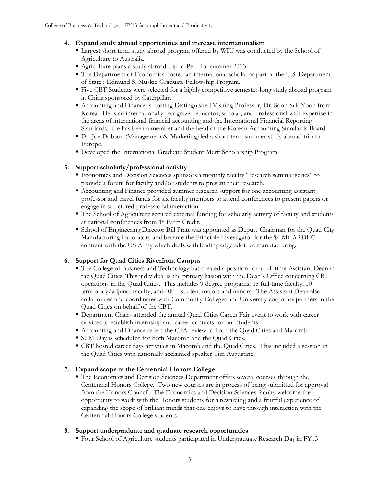## **4. Expand study abroad opportunities and increase internationalism**

- Largest short term study abroad program offered by WIU was conducted by the School of Agriculture to Australia.
- Agriculture plans a study abroad trip to Peru for summer 2013.
- The Department of Economics hosted an international scholar as part of the U.S. Department of State's Edmund S. Muskie Graduate Fellowship Program.
- Five CBT Students were selected for a highly competitive semester-long study abroad program in China sponsored by Caterpillar.
- Accounting and Finance is hosting Distinguished Visiting Professor, Dr. Soon Suk Yoon from Korea. He is an internationally recognized educator, scholar, and professional with expertise in the areas of international financial accounting and the International Financial Reporting Standards. He has been a member and the head of the Korean Accounting Standards Board.
- Dr. Joe Dobson (Management & Marketing) led a short-term summer study abroad trip to Europe.
- Developed the International Graduate Student Merit Scholarship Program

## **5. Support scholarly/professional activity**

- Economics and Decision Sciences sponsors a monthly faculty "research seminar series" to provide a forum for faculty and/or students to present their research.
- Accounting and Finance provided summer research support for one accounting assistant professor and travel funds for six faculty members to attend conferences to present papers or engage in structured professional interaction.
- The School of Agriculture secured external funding for scholarly activity of faculty and students at national conferences from 1st Farm Credit.
- School of Engineering Director Bill Pratt was appointed as Deputy Chairman for the Quad City Manufacturing Laboratory and became the Principle Investigator for the \$4 Mil ARDEC contract with the US Army which deals with leading edge additive manufacturing.

## **6. Support for Quad Cities Riverfront Campus**

- The College of Business and Technology has created a position for a full-time Assistant Dean in the Quad Cities. This individual is the primary liaison with the Dean's Office concerning CBT operations in the Quad Cities. This includes 9 degree programs, 18 full-time faculty, 10 temporary/adjunct faculty, and 400+ student majors and minors. The Assistant Dean also collaborates and coordinates with Community Colleges and University corporate partners in the Quad Cities on behalf of the CBT.
- Department Chairs attended the annual Quad Cities Career Fair event to work with career services to establish internship and career contacts for our students.
- Accounting and Finance offers the CPA review to both the Quad Cities and Macomb.
- SCM Day is scheduled for both Macomb and the Quad Cities.
- CBT hosted career days activities in Macomb and the Quad Cities. This included a session in the Quad Cities with nationally acclaimed speaker Tim Augustine.

## **7. Expand scope of the Centennial Honors College**

 The Economics and Decision Sciences Department offers several courses through the Centennial Honors College. Two new courses are in process of being submitted for approval from the Honors Council. The Economics and Decision Sciences faculty welcome the opportunity to work with the Honors students for a rewarding and a fruitful experience of expanding the scope of brilliant minds that one enjoys to have through interaction with the Centennial Honors College students.

## **8. Support undergraduate and graduate research opportunities**

Four School of Agriculture students participated in Undergraduate Research Day in FY13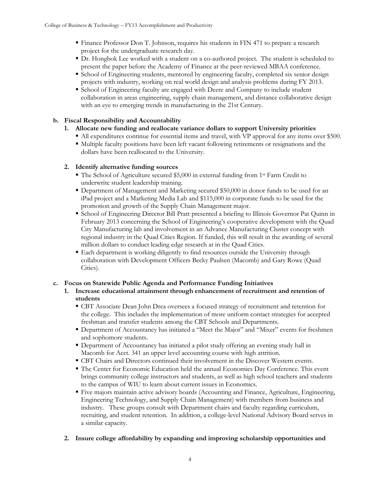- Finance Professor Don T. Johnson, requires his students in FIN 471 to prepare a research project for the undergraduate research day.
- Dr. Hongbok Lee worked with a student on a co-authored project. The student is scheduled to present the paper before the Academy of Finance at the peer-reviewed MBAA conference.
- **School of Engineering students, mentored by engineering faculty, completed six senior design** projects with industry, working on real world design and analysis problems during FY 2013.
- School of Engineering faculty are engaged with Deere and Company to include student collaboration in areas engineering, supply chain management, and distance collaborative design with an eye to emerging trends in manufacturing in the 21st Century.

## **b. Fiscal Responsibility and Accountability**

- **1. Allocate new funding and reallocate variance dollars to support University priorities**
	- All expenditures continue for essential items and travel, with VP approval for any items over \$500.
		- Multiple faculty positions have been left vacant following retirements or resignations and the dollars have been reallocated to the University.

## **2. Identify alternative funding sources**

- The School of Agriculture secured \$5,000 in external funding from 1st Farm Credit to underwrite student leadership training.
- Department of Management and Marketing secured \$50,000 in donor funds to be used for an iPad project and a Marketing Media Lab and \$115,000 in corporate funds to be used for the promotion and growth of the Supply Chain Management major.
- School of Engineering Director Bill Pratt presented a briefing to Illinois Governor Pat Quinn in February 2013 concerning the School of Engineering's cooperative development with the Quad City Manufacturing lab and involvement in an Advance Manufacturing Cluster concept with regional industry in the Quad Cities Region. If funded, this will result in the awarding of several million dollars to conduct leading edge research at in the Quad Cities.
- Each department is working diligently to find resources outside the University through collaboration with Development Officers Becky Paulsen (Macomb) and Gary Rowe (Quad Cities).

## **c. Focus on Statewide Public Agenda and Performance Funding Initiatives**

- **1. Increase educational attainment through enhancement of recruitment and retention of students**
	- CBT Associate Dean John Drea oversees a focused strategy of recruitment and retention for the college. This includes the implementation of more uniform contact strategies for accepted freshman and transfer students among the CBT Schools and Departments.
	- Department of Accountancy has initiated a "Meet the Major" and "Mixer" events for freshmen and sophomore students.
	- Department of Accountancy has initiated a pilot study offering an evening study hall in Macomb for Acct. 341 an upper level accounting course with high attrition.
	- CBT Chairs and Directors continued their involvement in the Discover Western events.
	- The Center for Economic Education held the annual Economics Day Conference. This event brings community college instructors and students, as well as high school teachers and students to the campus of WIU to learn about current issues in Economics.
	- Five majors maintain active advisory boards (Accounting and Finance, Agriculture, Engineering, Engineering Technology, and Supply Chain Management) with members from business and industry. These groups consult with Department chairs and faculty regarding curriculum, recruiting, and student retention. In addition, a college-level National Advisory Board serves in a similar capacity.

## **2. Insure college affordability by expanding and improving scholarship opportunities and**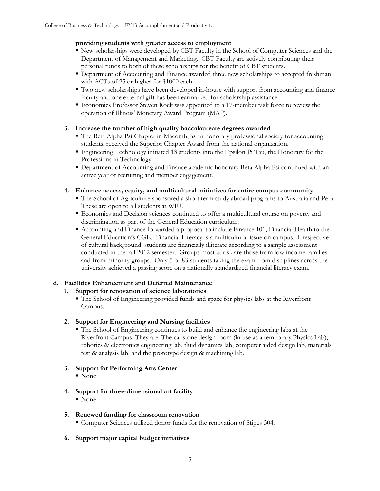#### **providing students with greater access to employment**

- New scholarships were developed by CBT Faculty in the School of Computer Sciences and the Department of Management and Marketing. CBT Faculty are actively contributing their personal funds to both of these scholarships for the benefit of CBT students.
- **Department of Accounting and Finance awarded three new scholarships to accepted freshman** with ACTs of 25 or higher for \$1000 each.
- Two new scholarships have been developed in-house with support from accounting and finance faculty and one external gift has been earmarked for scholarship assistance.
- Economics Professor Steven Rock was appointed to a 17-member task force to review the operation of Illinois' Monetary Award Program (MAP).

## **3. Increase the number of high quality baccalaureate degrees awarded**

- The Beta Alpha Psi Chapter in Macomb, as an honorary professional society for accounting students, received the Superior Chapter Award from the national organization.
- Engineering Technology initiated 13 students into the Epsilon Pi Tau, the Honorary for the Professions in Technology.
- Department of Accounting and Finance academic honorary Beta Alpha Psi continued with an active year of recruiting and member engagement.

#### **4. Enhance access, equity, and multicultural initiatives for entire campus community**

- The School of Agriculture sponsored a short term study abroad programs to Australia and Peru. These are open to all students at WIU.
- Economics and Decision sciences continued to offer a multicultural course on poverty and discrimination as part of the General Education curriculum.
- Accounting and Finance forwarded a proposal to include Finance 101, Financial Health to the General Education's CGE. Financial Literacy is a multicultural issue on campus. Irrespective of cultural background, students are financially illiterate according to a sample assessment conducted in the fall 2012 semester. Groups most at risk are those from low income families and from minority groups. Only 5 of 83 students taking the exam from disciplines across the university achieved a passing score on a nationally standardized financial literacy exam.

## **d. Facilities Enhancement and Deferred Maintenance**

## **1. Support for renovation of science laboratories**

 The School of Engineering provided funds and space for physics labs at the Riverfront Campus.

## **2. Support for Engineering and Nursing facilities**

 The School of Engineering continues to build and enhance the engineering labs at the Riverfront Campus. They are: The capstone design room (in use as a temporary Physics Lab), robotics & electronics engineering lab, fluid dynamics lab, computer aided design lab, materials test & analysis lab, and the prototype design & machining lab.

## **3. Support for Performing Arts Center**

■ None

## **4. Support for three-dimensional art facility**

■ None

## **5. Renewed funding for classroom renovation**

- Computer Sciences utilized donor funds for the renovation of Stipes 304.
- **6. Support major capital budget initiatives**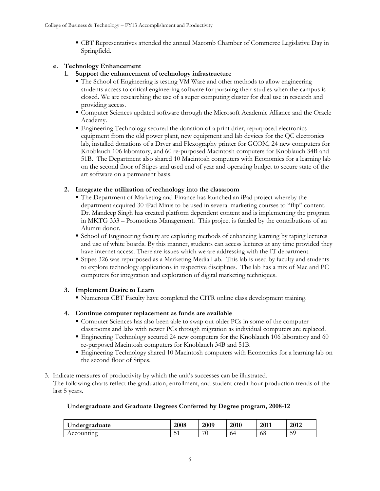CBT Representatives attended the annual Macomb Chamber of Commerce Legislative Day in Springfield.

# **e. Technology Enhancement**

- **1. Support the enhancement of technology infrastructure**
	- The School of Engineering is testing VM Ware and other methods to allow engineering students access to critical engineering software for pursuing their studies when the campus is closed. We are researching the use of a super computing cluster for dual use in research and providing access.
	- Computer Sciences updated software through the Microsoft Academic Alliance and the Oracle Academy.
	- Engineering Technology secured the donation of a print drier, repurposed electronics equipment from the old power plant, new equipment and lab devices for the QC electronics lab, installed donations of a Dryer and Flexography printer for GCOM, 24 new computers for Knoblauch 106 laboratory, and 60 re-purposed Macintosh computers for Knoblauch 34B and 51B. The Department also shared 10 Macintosh computers with Economics for a learning lab on the second floor of Stipes and used end of year and operating budget to secure state of the art software on a permanent basis.

# **2. Integrate the utilization of technology into the classroom**

- The Department of Marketing and Finance has launched an iPad project whereby the department acquired 30 iPad Minis to be used in several marketing courses to "flip" content. Dr. Mandeep Singh has created platform dependent content and is implementing the program in MKTG 333 – Promotions Management. This project is funded by the contributions of an Alumni donor.
- School of Engineering faculty are exploring methods of enhancing learning by taping lectures and use of white boards. By this manner, students can access lectures at any time provided they have internet access. There are issues which we are addressing with the IT department.
- Stipes 326 was repurposed as a Marketing Media Lab. This lab is used by faculty and students to explore technology applications in respective disciplines. The lab has a mix of Mac and PC computers for integration and exploration of digital marketing techniques.

# **3. Implement Desire to Learn**

Numerous CBT Faculty have completed the CITR online class development training.

# **4. Continue computer replacement as funds are available**

- Computer Sciences has also been able to swap out older PCs in some of the computer classrooms and labs with newer PCs through migration as individual computers are replaced.
- Engineering Technology secured 24 new computers for the Knoblauch 106 laboratory and 60 re-purposed Macintosh computers for Knoblauch 34B and 51B.
- Engineering Technology shared 10 Macintosh computers with Economics for a learning lab on the second floor of Stipes.
- 3. Indicate measures of productivity by which the unit's successes can be illustrated. The following charts reflect the graduation, enrollment, and student credit hour production trends of the last 5 years.

# **Undergraduate and Graduate Degrees Conferred by Degree program, 2008-12**

| Undergraduate | 2008 | 2009               | 2010 | 2011 | 2012    |
|---------------|------|--------------------|------|------|---------|
| Accounting    | ◡    | $\sim$ $\sim$<br>w | 04   | oð   | 50<br>້ |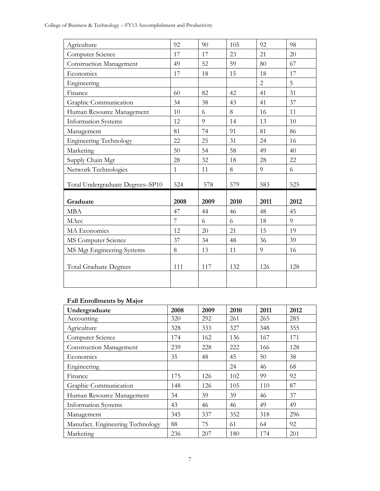College of Business & Technology – FY13 Accomplishment and Productivity

| Agriculture                      | 92             | 90   | 105  | 92             | 98   |
|----------------------------------|----------------|------|------|----------------|------|
| Computer Science                 | 17             | 17   | 23   | 21             | 20   |
| <b>Construction Management</b>   | 49             | 52   | 59   | 80             | 67   |
| Economics                        | 17             | 18   | 15   | 18             | 17   |
| Engineering                      |                |      |      | $\overline{2}$ | 5    |
| Finance                          | 60             | 82   | 42   | 41             | 31   |
| Graphic Communication            | 34             | 38   | 43   | 41             | 37   |
| Human Resource Management        | 10             | 6    | 8    | 16             | 11   |
| <b>Information Systems</b>       | 12             | 9    | 14   | 13             | 10   |
| Management                       | 81             | 74   | 91   | 81             | 86   |
| <b>Engineering Technology</b>    | 22             | 25   | 31   | 24             | 16   |
| Marketing                        | 50             | 54   | 58   | 49             | 40   |
| Supply Chain Mgt                 | 28             | 32   | 18   | 28             | 22   |
| Network Technologies             | $\mathbf{1}$   | 11   | 8    | 9              | 6    |
| Total Undergraduate Degrees-SP10 | 524            | 578  | 579  | 583            | 525  |
|                                  |                |      |      |                |      |
| Graduate                         | 2008           | 2009 | 2010 | 2011           | 2012 |
| <b>MBA</b>                       | 47             | 44   | 46   | 48             | 45   |
| MAcc                             | $\overline{7}$ | 6    | 6    | 18             | 9    |
| MA Economics                     | 12             | 20   | 21   | 15             | 19   |
| MS Computer Science              | 37             | 34   | 48   | 36             | 39   |
| MS Mgt Engineering Systems       | 8              | 13   | 11   | 9              | 16   |
|                                  |                |      |      |                |      |
| <b>Total Graduate Degrees</b>    | 111            | 117  | 132  | 126            | 128  |
|                                  |                |      |      |                |      |
|                                  |                |      |      |                |      |

# **Fall Enrollments by Major**

| Undergraduate                    | 2008 | 2009 | 2010 | 2011 | 2012 |
|----------------------------------|------|------|------|------|------|
| Accounting                       | 320  | 292  | 261  | 265  | 285  |
| Agriculture                      | 328  | 333  | 327  | 348  | 355  |
| Computer Science                 | 174  | 162  | 136  | 167  | 171  |
| <b>Construction Management</b>   | 239  | 228  | 222  | 166  | 128  |
| Economics                        | 35   | 48   | 45   | 50   | 38   |
| Engineering                      |      |      | 24   | 46   | 68   |
| Finance                          | 175  | 126  | 102  | 99   | 92   |
| Graphic Communication            | 148  | 126  | 105  | 110  | 87   |
| Human Resource Management        | 34   | 39   | 39   | 46   | 37   |
| <b>Information Systems</b>       | 43   | 46   | 46   | 49   | 49   |
| Management                       | 345  | 337  | 352  | 318  | 296  |
| Manufact. Engineering Technology | 88   | 75   | 61   | 64   | 92   |
| Marketing                        | 236  | 207  | 180  | 174  | 201  |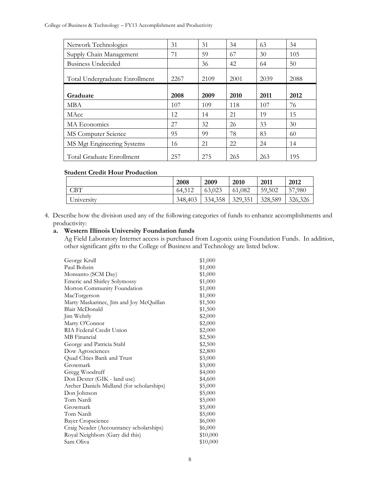College of Business & Technology – FY13 Accomplishment and Productivity

| Network Technologies           | 31   | 31   | 34   | 63   | 34   |
|--------------------------------|------|------|------|------|------|
| Supply Chain Management        | 71   | 59   | 67   | 30   | 105  |
| Business Undecided             |      | 36   | 42   | 64   | 50   |
| Total Undergraduate Enrollment | 2267 | 2109 | 2001 | 2039 | 2088 |
| Graduate                       | 2008 | 2009 | 2010 | 2011 | 2012 |
| <b>MBA</b>                     | 107  | 109  | 118  | 107  | 76   |
| MAcc                           | 12   | 14   | 21   | 19   | 15   |
| MA Economics                   | 27   | 32   | 26   | 33   | 30   |
| MS Computer Science            | 95   | 99   | 78   | 83   | 60   |
| MS Mgt Engineering Systems     | 16   | 21   | 22   | 24   | 14   |
| Total Graduate Enrollment      | 257  | 275  | 265  | 263  | 195  |

#### **Student Credit Hour Production**

|            | 2008    | 2009    | 2010    | 2011    | 2012    |
|------------|---------|---------|---------|---------|---------|
| CBT        | 64,512  | 63,023  | 61,082  | 59,502  | 57,980  |
| University | 348,403 | 334,358 | 329,351 | 328,589 | 326,326 |

4. Describe how the division used any of the following categories of funds to enhance accomplishments and productivity:

## **a. Western Illinois University Foundation funds**

Ag Field Laboratory Internet access is purchased from Logonix using Foundation Funds. In addition, other significant gifts to the College of Business and Technology are listed below.

| \$1,000  |
|----------|
| \$1,000  |
| \$1,000  |
| \$1,000  |
| \$1,000  |
| \$1,000  |
| \$1,500  |
| \$1,500  |
| \$2,000  |
| \$2,000  |
| \$2,000  |
| \$2,500  |
| \$2,500  |
| \$2,800  |
| \$3,000  |
| \$3,000  |
| \$4,000  |
| \$4,600  |
| \$5,000  |
| \$5,000  |
| \$5,000  |
| \$5,000  |
| \$5,000  |
| \$6,000  |
| \$6,000  |
| \$10,000 |
| \$10,000 |
|          |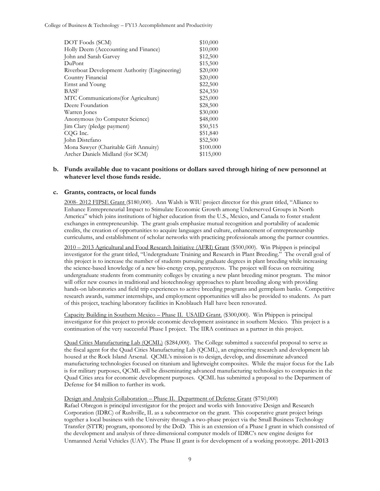College of Business & Technology – FY13 Accomplishment and Productivity

| \$10,000  |
|-----------|
| \$10,000  |
| \$12,500  |
| \$15,500  |
| \$20,000  |
| \$20,000  |
| \$22,500  |
| \$24,350  |
| \$25,000  |
| \$28,500  |
| \$30,000  |
| \$48,000  |
| \$50,515  |
| \$51,840  |
| \$52,500  |
| \$100.000 |
| \$115,000 |
|           |

#### **b. Funds available due to vacant positions or dollars saved through hiring of new personnel at whatever level those funds reside.**

#### **c. Grants, contracts, or local funds**

2008- 2012 FIPSE Grant (\$180,000). Ann Walsh is WIU project director for this grant titled, "Alliance to Enhance Entrepreneurial Impact to Stimulate Economic Growth among Underserved Groups in North America" which joins institutions of higher education from the U.S., Mexico, and Canada to foster student exchanges in entrepreneurship. The grant goals emphasize mutual recognition and portability of academic credits, the creation of opportunities to acquire languages and culture, enhancement of entrepreneurship curriculums, and establishment of scholar networks with practicing professionals among the partner countries.

2010 – 2013 Agricultural and Food Research Initiative (AFRI) Grant (\$500,000). Win Phippen is principal investigator for the grant titled, "Undergraduate Training and Research in Plant Breeding." The overall goal of this project is to increase the number of students pursuing graduate degrees in plant breeding while increasing the science-based knowledge of a new bio-energy crop, pennycress. The project will focus on recruiting undergraduate students from community colleges by creating a new plant breeding minor program. The minor will offer new courses in traditional and biotechnology approaches to plant breeding along with providing hands-on laboratories and field trip experiences to active breeding programs and germplasm banks. Competitive research awards, summer internships, and employment opportunities will also be provided to students. As part of this project, teaching laboratory facilities in Knoblauch Hall have been renovated.

Capacity Building in Southern Mexico – Phase II. USAID Grant. (\$300,000). Win Phippen is principal investigator for this project to provide economic development assistance in southern Mexico. This project is a continuation of the very successful Phase I project. The IIRA continues as a partner in this project.

Quad Cities Manufacturing Lab (QCML) (\$284,000). The College submitted a successful proposal to serve as the fiscal agent for the Quad Cities Manufacturing Lab (QCML), an engineering research and development lab housed at the Rock Island Arsenal. QCML's mission is to design, develop, and disseminate advanced manufacturing technologies focused on titanium and lightweight composites. While the major focus for the Lab is for military purposes, QCML will be disseminating advanced manufacturing technologies to companies in the Quad Cities area for economic development purposes. QCML has submitted a proposal to the Department of Defense for \$4 million to further its work.

#### Design and Analysis Collaboration – Phase II. Department of Defense Grant (\$750,000)

Rafael Obregon is principal investigator for the project and works with Innovative Design and Research Corporation (IDRC) of Rushville, IL as a subcontractor on the grant. This cooperative grant project brings together a local business with the University through a two-phase project via the Small Business Technology Transfer (STTR) program, sponsored by the DoD. This is an extension of a Phase I grant in which consisted of the development and analysis of three-dimensional computer models of IDRC's new engine designs for Unmanned Aerial Vehicles (UAV). The Phase II grant is for development of a working prototype. 2011-2013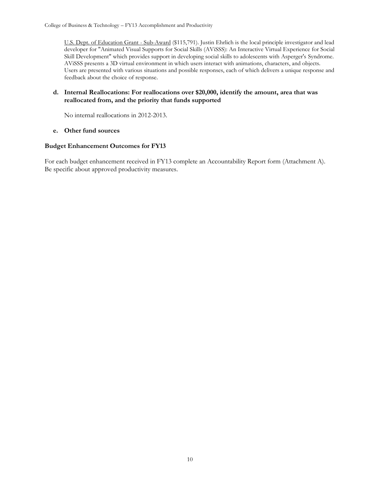U.S. Dept. of Education Grant - Sub-Award (\$115,791). Justin Ehrlich is the local principle investigator and lead developer for "Animated Visual Supports for Social Skills (AViSSS): An Interactive Virtual Experience for Social Skill Development" which provides support in developing social skills to adolescents with Asperger's Syndrome. AViSSS presents a 3D virtual environment in which users interact with animations, characters, and objects. Users are presented with various situations and possible responses, each of which delivers a unique response and feedback about the choice of response.

#### **d. Internal Reallocations: For reallocations over \$20,000, identify the amount, area that was reallocated from, and the priority that funds supported**

No internal reallocations in 2012-2013.

#### **e. Other fund sources**

#### **Budget Enhancement Outcomes for FY13**

For each budget enhancement received in FY13 complete an Accountability Report form (Attachment A). Be specific about approved productivity measures.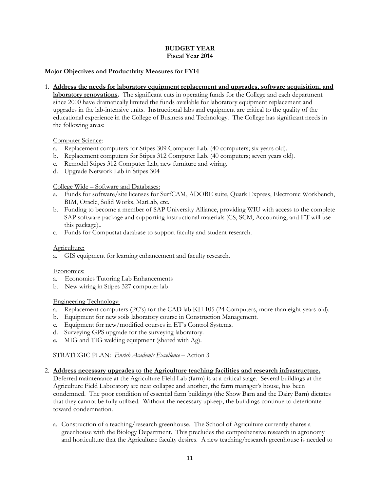#### **BUDGET YEAR Fiscal Year 2014**

## **Major Objectives and Productivity Measures for FY14**

1. **Address the needs for laboratory equipment replacement and upgrades, software acquisition, and laboratory renovations.** The significant cuts in operating funds for the College and each department since 2000 have dramatically limited the funds available for laboratory equipment replacement and upgrades in the lab-intensive units. Instructional labs and equipment are critical to the quality of the educational experience in the College of Business and Technology. The College has significant needs in the following areas:

#### Computer Science:

- a. Replacement computers for Stipes 309 Computer Lab. (40 computers; six years old).
- b. Replacement computers for Stipes 312 Computer Lab. (40 computers; seven years old).
- c. Remodel Stipes 312 Computer Lab, new furniture and wiring.
- d. Upgrade Network Lab in Stipes 304

## College Wide – Software and Databases:

- a. Funds for software/site licenses for SurfCAM, ADOBE suite, Quark Express, Electronic Workbench, BIM, Oracle, Solid Works, MatLab, etc.
- b. Funding to become a member of SAP University Alliance, providing WIU with access to the complete SAP software package and supporting instructional materials (CS, SCM, Accounting, and ET will use this package)..
- c. Funds for Compustat database to support faculty and student research.

#### Agriculture:

a. GIS equipment for learning enhancement and faculty research.

## Economics:

- a. Economics Tutoring Lab Enhancements
- b. New wiring in Stipes 327 computer lab

## Engineering Technology:

- a. Replacement computers (PC's) for the CAD lab KH 105 (24 Computers, more than eight years old).
- b. Equipment for new soils laboratory course in Construction Management.
- c. Equipment for new/modified courses in ET's Control Systems.
- d. Surveying GPS upgrade for the surveying laboratory.
- e. MIG and TIG welding equipment (shared with Ag).

STRATEGIC PLAN: *Enrich Academic Excellence* – Action 3

## 2. **Address necessary upgrades to the Agriculture teaching facilities and research infrastructure.**

Deferred maintenance at the Agriculture Field Lab (farm) is at a critical stage. Several buildings at the Agriculture Field Laboratory are near collapse and another, the farm manager's house, has been condemned. The poor condition of essential farm buildings (the Show Barn and the Dairy Barn) dictates that they cannot be fully utilized. Without the necessary upkeep, the buildings continue to deteriorate toward condemnation.

a. Construction of a teaching/research greenhouse. The School of Agriculture currently shares a greenhouse with the Biology Department. This precludes the comprehensive research in agronomy and horticulture that the Agriculture faculty desires. A new teaching/research greenhouse is needed to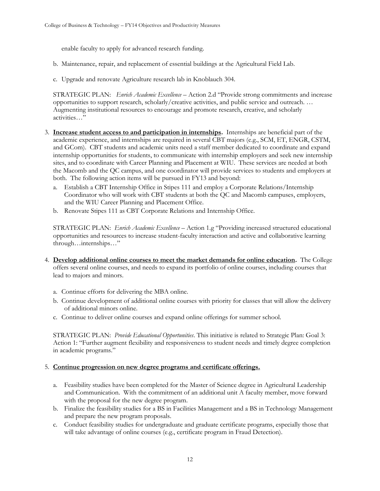enable faculty to apply for advanced research funding.

- b. Maintenance, repair, and replacement of essential buildings at the Agricultural Field Lab.
- c. Upgrade and renovate Agriculture research lab in Knoblauch 304.

STRATEGIC PLAN: *Enrich Academic Excellence* – Action 2.d "Provide strong commitments and increase opportunities to support research, scholarly/creative activities, and public service and outreach. … Augmenting institutional resources to encourage and promote research, creative, and scholarly activities…"

- 3. **Increase student access to and participation in internships.** Internships are beneficial part of the academic experience, and internships are required in several CBT majors (e.g., SCM, ET, ENGR, CSTM, and GCom). CBT students and academic units need a staff member dedicated to coordinate and expand internship opportunities for students, to communicate with internship employers and seek new internship sites, and to coordinate with Career Planning and Placement at WIU. These services are needed at both the Macomb and the QC campus, and one coordinator will provide services to students and employers at both. The following action items will be pursued in FY13 and beyond:
	- a. Establish a CBT Internship Office in Stipes 111 and employ a Corporate Relations/Internship Coordinator who will work with CBT students at both the QC and Macomb campuses, employers, and the WIU Career Planning and Placement Office.
	- b. Renovate Stipes 111 as CBT Corporate Relations and Internship Office.

STRATEGIC PLAN: *Enrich Academic Excellence* – Action 1.g "Providing increased structured educational opportunities and resources to increase student-faculty interaction and active and collaborative learning through…internships…"

- 4. **Develop additional online courses to meet the market demands for online education.** The College offers several online courses, and needs to expand its portfolio of online courses, including courses that lead to majors and minors.
	- a. Continue efforts for delivering the MBA online.
	- b. Continue development of additional online courses with priority for classes that will allow the delivery of additional minors online.
	- c. Continue to deliver online courses and expand online offerings for summer school.

STRATEGIC PLAN: *Provide Educational Opportunities*. This initiative is related to Strategic Plan: Goal 3: Action 1: "Further augment flexibility and responsiveness to student needs and timely degree completion in academic programs."

## 5. **Continue progression on new degree programs and certificate offerings.**

- a. Feasibility studies have been completed for the Master of Science degree in Agricultural Leadership and Communication. With the commitment of an additional unit A faculty member, move forward with the proposal for the new degree program.
- b. Finalize the feasibility studies for a BS in Facilities Management and a BS in Technology Management and prepare the new program proposals.
- c. Conduct feasibility studies for undergraduate and graduate certificate programs, especially those that will take advantage of online courses (e.g., certificate program in Fraud Detection).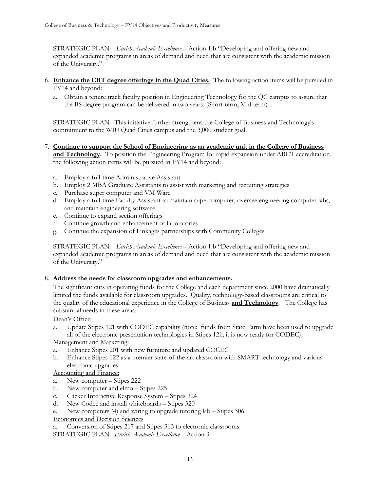STRATEGIC PLAN*: Enrich Academic Excellence* – Action 1.b "Developing and offering new and expanded academic programs in areas of demand and need that are consistent with the academic mission of the University."

- 6. **Enhance the CBT degree offerings in the Quad Cities.** The following action items will be pursued in FY14 and beyond:
	- a. Obtain a tenure track faculty position in Engineering Technology for the QC campus to assure that the BS degree program can be delivered in two years. (Short-term, Mid-term)

STRATEGIC PLAN: This initiative further strengthens the College of Business and Technology's commitment to the WIU Quad Cities campus and the 3,000 student goal.

- 7. **Continue to support the School of Engineering as an academic unit in the College of Business and Technology.** To position the Engineering Program for rapid expansion under ABET accreditation, the following action items will be pursued in FY14 and beyond:
	- a. Employ a full-time Administrative Assistant
	- b. Employ 2 MBA Graduate Assistants to assist with marketing and recruiting strategies
	- c. Purchase super computer and VM Ware
	- d. Employ a full-time Faculty Assistant to maintain supercomputer, oversee engineering computer labs, and maintain engineering software
	- e. Continue to expand section offerings
	- f. Continue growth and enhancement of laboratories
	- g. Continue the expansion of Linkages partnerships with Community Colleges

STRATEGIC PLAN: *Enrich Academic Excellence* – Action 1.b "Developing and offering new and expanded academic programs in areas of demand and need that are consistent with the academic mission of the University."

# 8. **Address the needs for classroom upgrades and enhancements.**

The significant cuts in operating funds for the College and each department since 2000 have dramatically limited the funds available for classroom upgrades. Quality, technology-based classrooms are critical to the quality of the educational experience in the College of Business **and Technology**. The College has substantial needs in these areas:

## Dean's Office:

a. Update Stipes 121 with CODEC capability (note: funds from State Farm have been used to upgrade all of the electronic presentation technologies in Stipes 121; it is now ready for CODEC).

Management and Marketing:

- a. Enhance Stipes 201 with new furniture and updated COCEC
- b. Enhance Stipes 122 as a premier state-of-the-art classroom with SMART technology and various electronic upgrades

# Accounting and Finance:

- a. New computer Stipes 222
- b. New computer and elmo Stipes 225
- c. Clicker Interactive Response System Stipes 224
- d. New Codec and install whiteboards Stipes 320
- e. New computers (4) and wiring to upgrade tutoring lab Stipes 306

## Economics and Decision Sciences

Conversion of Stipes 217 and Stipes 313 to electronic classrooms.

STRATEGIC PLAN: *Enrich Academic Excellence* – Action 3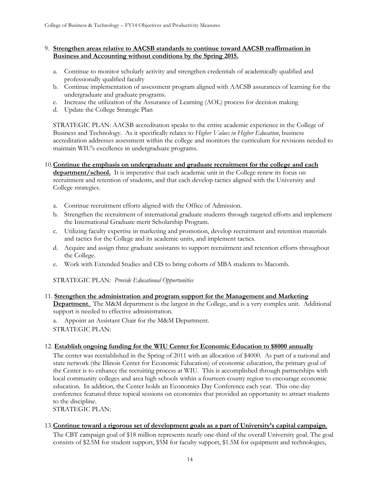#### 9. **Strengthen areas relative to AACSB standards to continue toward AACSB reaffirmation in Business and Accounting without conditions by the Spring 2015.**

- a. Continue to monitor scholarly activity and strengthen credentials of academically qualified and professionally qualified faculty
- b. Continue implementation of assessment program aligned with AACSB assurances of learning for the undergraduate and graduate programs.
- c. Increase the utilization of the Assurance of Learning (AOL) process for decision making
- d. Update the College Strategic Plan

STRATEGIC PLAN: AACSB accreditation speaks to the entire academic experience in the College of Business and Technology. As it specifically relates to *Higher Values in Higher Education*, business accreditation addresses assessment within the college and monitors the curriculum for revisions needed to maintain WIU's excellence in undergraduate programs.

- 10.**Continue the emphasis on undergraduate and graduate recruitment for the college and each department/school.** It is imperative that each academic unit in the College renew its focus on recruitment and retention of students, and that each develop tactics aligned with the University and College strategies.
	- a. Continue recruitment efforts aligned with the Office of Admission.
	- b. Strengthen the recruitment of international graduate students through targeted efforts and implement the International Graduate merit Scholarship Program.
	- c. Utilizing faculty expertise in marketing and promotion, develop recruitment and retention materials and tactics for the College and its academic units, and implement tactics.
	- d. Acquire and assign three graduate assistants to support recruitment and retention efforts throughout the College.
	- e. Work with Extended Studies and CIS to bring cohorts of MBA students to Macomb.

STRATEGIC PLAN: *Provide Educational Opportunities*

## 11. **Strengthen the administration and program support for the Management and Marketing**

**Department**. The M&M department is the largest in the College, and is a very complex unit. Additional support is needed to effective administration.

a. Appoint an Assistant Chair for the M&M Department. STRATEGIC PLAN:

## 12. **Establish ongoing funding for the WIU Center for Economic Education to \$8000 annually**

The center was reestablished in the Spring of 2011 with an allocation of \$4000. As part of a national and state network (the Illinois Center for Economic Education) of economic education, the primary goal of the Center is to enhance the recruiting process at WIU. This is accomplished through partnerships with local community colleges and area high schools within a fourteen-county region to encourage economic education. In addition, the Center holds an Economics Day Conference each year. This one-day conference featured three topical sessions on economics that provided an opportunity to attract students to the discipline.

STRATEGIC PLAN:

## 13.**Continue toward a rigorous set of development goals as a part of University's capital campaign**.

The CBT campaign goal of \$18 million represents nearly one-third of the overall University goal. The goal consists of \$2.5M for student support, \$5M for faculty support, \$1.5M for equipment and technologies,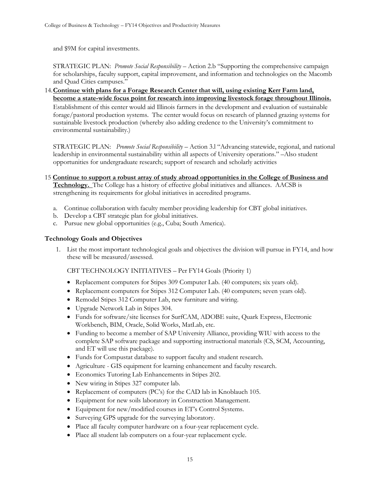and \$9M for capital investments.

STRATEGIC PLAN: *Promote Social Responsibility* – Action 2.b "Supporting the comprehensive campaign for scholarships, faculty support, capital improvement, and information and technologies on the Macomb and Quad Cities campuses."

14.**Continue with plans for a Forage Research Center that will, using existing Kerr Farm land, become a state-wide focus point for research into improving livestock forage throughout Illinois.** Establishment of this center would aid Illinois farmers in the development and evaluation of sustainable forage/pastoral production systems. The center would focus on research of planned grazing systems for sustainable livestock production (whereby also adding credence to the University's commitment to environmental sustainability.)

STRATEGIC PLAN: *Promote Social Responsibility* – Action 3.1 "Advancing statewide, regional, and national leadership in environmental sustainability within all aspects of University operations." –Also student opportunities for undergraduate research; support of research and scholarly activities

- 15 **Continue to support a robust array of study abroad opportunities in the College of Business and Technology.** The College has a history of effective global initiatives and alliances. AACSB is strengthening its requirements for global initiatives in accredited programs.
	- a. Continue collaboration with faculty member providing leadership for CBT global initiatives.
	- b. Develop a CBT strategic plan for global initiatives.
	- c. Pursue new global opportunities (e.g., Cuba; South America).

## **Technology Goals and Objectives**

1. List the most important technological goals and objectives the division will pursue in FY14, and how these will be measured/assessed.

CBT TECHNOLOGY INITIATIVES – Per FY14 Goals (Priority 1)

- Replacement computers for Stipes 309 Computer Lab. (40 computers; six years old).
- Replacement computers for Stipes 312 Computer Lab. (40 computers; seven years old).
- Remodel Stipes 312 Computer Lab, new furniture and wiring.
- Upgrade Network Lab in Stipes 304.
- Funds for software/site licenses for SurfCAM, ADOBE suite, Quark Express, Electronic Workbench, BIM, Oracle, Solid Works, MatLab, etc.
- Funding to become a member of SAP University Alliance, providing WIU with access to the complete SAP software package and supporting instructional materials (CS, SCM, Accounting, and ET will use this package).
- Funds for Compustat database to support faculty and student research.
- Agriculture GIS equipment for learning enhancement and faculty research.
- Economics Tutoring Lab Enhancements in Stipes 202.
- New wiring in Stipes 327 computer lab.
- Replacement of computers (PC's) for the CAD lab in Knoblauch 105.
- Equipment for new soils laboratory in Construction Management.
- Equipment for new/modified courses in ET's Control Systems.
- Surveying GPS upgrade for the surveying laboratory.
- Place all faculty computer hardware on a four-year replacement cycle.
- Place all student lab computers on a four-year replacement cycle.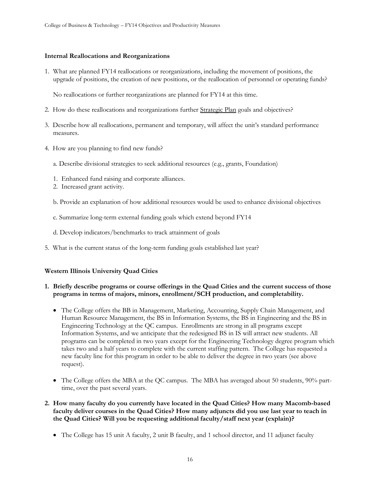#### **Internal Reallocations and Reorganizations**

1. What are planned FY14 reallocations or reorganizations, including the movement of positions, the upgrade of positions, the creation of new positions, or the reallocation of personnel or operating funds?

No reallocations or further reorganizations are planned for FY14 at this time.

- 2. How do these reallocations and reorganizations further Strategic Plan goals and objectives?
- 3. Describe how all reallocations, permanent and temporary, will affect the unit's standard performance measures.
- 4. How are you planning to find new funds?
	- a. Describe divisional strategies to seek additional resources (e.g., grants, Foundation)
	- 1. Enhanced fund raising and corporate alliances.
	- 2. Increased grant activity.
	- b. Provide an explanation of how additional resources would be used to enhance divisional objectives
	- c. Summarize long-term external funding goals which extend beyond FY14
	- d. Develop indicators/benchmarks to track attainment of goals
- 5. What is the current status of the long-term funding goals established last year?

#### **Western Illinois University Quad Cities**

#### **1. Briefly describe programs or course offerings in the Quad Cities and the current success of those programs in terms of majors, minors, enrollment/SCH production, and completability.**

- The College offers the BB in Management, Marketing, Accounting, Supply Chain Management, and Human Resource Management, the BS in Information Systems, the BS in Engineering and the BS in Engineering Technology at the QC campus. Enrollments are strong in all programs except Information Systems, and we anticipate that the redesigned BS in IS will attract new students. All programs can be completed in two years except for the Engineering Technology degree program which takes two and a half years to complete with the current staffing pattern. The College has requested a new faculty line for this program in order to be able to deliver the degree in two years (see above request).
- The College offers the MBA at the QC campus. The MBA has averaged about 50 students, 90% parttime, over the past several years.
- **2. How many faculty do you currently have located in the Quad Cities? How many Macomb-based faculty deliver courses in the Quad Cities? How many adjuncts did you use last year to teach in the Quad Cities? Will you be requesting additional faculty/staff next year (explain)?** 
	- The College has 15 unit A faculty, 2 unit B faculty, and 1 school director, and 11 adjunct faculty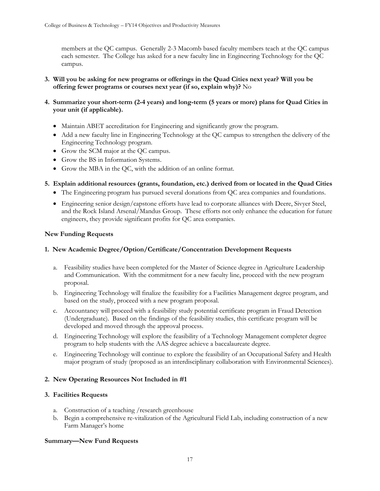members at the QC campus. Generally 2-3 Macomb based faculty members teach at the QC campus each semester. The College has asked for a new faculty line in Engineering Technology for the QC campus.

- **3. Will you be asking for new programs or offerings in the Quad Cities next year? Will you be offering fewer programs or courses next year (if so, explain why)?** No
- **4. Summarize your short-term (2-4 years) and long-term (5 years or more) plans for Quad Cities in your unit (if applicable).** 
	- Maintain ABET accreditation for Engineering and significantly grow the program.
	- Add a new faculty line in Engineering Technology at the QC campus to strengthen the delivery of the Engineering Technology program.
	- Grow the SCM major at the OC campus.
	- Grow the BS in Information Systems.
	- Grow the MBA in the QC, with the addition of an online format.

## **5. Explain additional resources (grants, foundation, etc.) derived from or located in the Quad Cities**

- The Engineering program has pursued several donations from QC area companies and foundations.
- Engineering senior design/capstone efforts have lead to corporate alliances with Deere, Sivyer Steel, and the Rock Island Arsenal/Mandus Group. These efforts not only enhance the education for future engineers, they provide significant profits for QC area companies.

## **New Funding Requests**

## **1. New Academic Degree/Option/Certificate/Concentration Development Requests**

- a. Feasibility studies have been completed for the Master of Science degree in Agriculture Leadership and Communication. With the commitment for a new faculty line, proceed with the new program proposal.
- b. Engineering Technology will finalize the feasibility for a Facilities Management degree program, and based on the study, proceed with a new program proposal.
- c. Accountancy will proceed with a feasibility study potential certificate program in Fraud Detection (Undergraduate). Based on the findings of the feasibility studies, this certificate program will be developed and moved through the approval process.
- d. Engineering Technology will explore the feasibility of a Technology Management completer degree program to help students with the AAS degree achieve a baccalaureate degree.
- e. Engineering Technology will continue to explore the feasibility of an Occupational Safety and Health major program of study (proposed as an interdisciplinary collaboration with Environmental Sciences).

## **2. New Operating Resources Not Included in #1**

## **3. Facilities Requests**

- a. Construction of a teaching /research greenhouse
- b. Begin a comprehensive re-vitalization of the Agricultural Field Lab, including construction of a new Farm Manager's home

#### **Summary—New Fund Requests**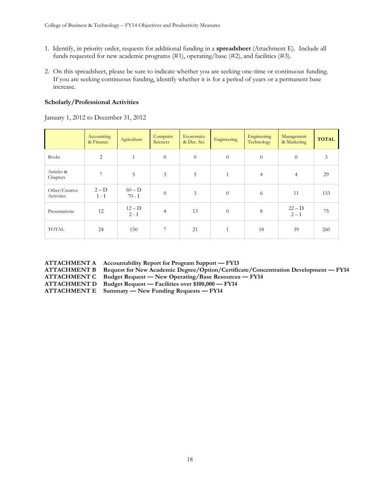- 1. Identify, in priority order, requests for additional funding in a **spreadsheet** (Attachment E). Include all funds requested for new academic programs (#1), operating/base (#2), and facilities (#3).
- 2. On this spreadsheet, please be sure to indicate whether you are seeking one-time or continuous funding. If you are seeking continuous funding, identify whether it is for a period of years or a permanent base increase.

# **Scholarly/Professional Activities**

January 1, 2012 to December 31, 2012

|                              | Accounting<br>& Finance | Agriculture          | Computer<br>Sciences | Economics<br>& Dec. Sci. | Engineering  | Engineering<br>Technology | Management<br>& Marketing | <b>TOTAL</b>  |
|------------------------------|-------------------------|----------------------|----------------------|--------------------------|--------------|---------------------------|---------------------------|---------------|
| <b>Books</b>                 | $\overline{2}$          | $\mathbf{1}$         | $\overline{0}$       | $\overline{0}$           | $\theta$     | $\theta$                  | $\theta$                  | $\mathfrak z$ |
| Articles &<br>Chapters       | 7                       | 5                    | 3                    | 5                        | $\mathbf{1}$ | $\overline{4}$            | $\overline{4}$            | 29            |
| Other/Creative<br>Activities | $2-D$<br>$1-I$          | $60 - D$<br>$70 - I$ | $\theta$             | 3                        | $\theta$     | 6                         | 11                        | 153           |
| Presentations                | 12                      | $12-D$<br>$2 - I$    | $\overline{4}$       | 13                       | $\theta$     | 8                         | $22 - D$<br>$2-I$         | 75            |
| <b>TOTAL</b>                 | 24                      | 150                  | 7                    | 21                       | $\mathbf{1}$ | 18                        | 39                        | 260           |

| <b>ATTACHMENT A</b> |
|---------------------|
| <b>ATTACHMENT B</b> |
| <b>ATTACHMENT C</b> |
| <b>ATTACHMENT D</b> |
| <b>ATTACHMENT E</b> |

Accountability Report for Program Support — **FY13** 

**ATTACHMENT B Request for New Academic Degree/Option/Certificate/Concentration Development — FY14**

**ATTACHMENT C Budget Request — New Operating/Base Resources — FY14**

**ATTACHMENT D Budget Request — Facilities over \$100,000 — FY14**

- - **ATTACHMENT E Summary — New Funding Requests — FY14**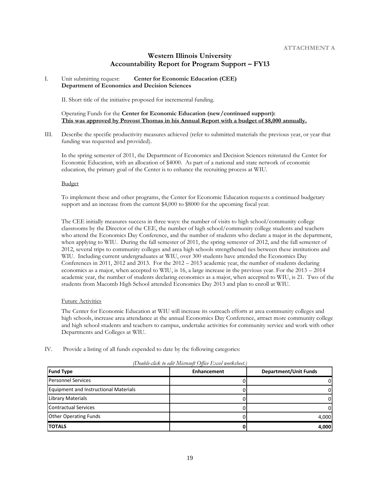## **Western Illinois University Accountability Report for Program Support – FY13**

#### I. Unit submitting request: **Center for Economic Education (CEE) Department of Economics and Decision Sciences**

II. Short title of the initiative proposed for incremental funding.

#### Operating Funds for the **Center for Economic Education (new/continued support): This was approved by Provost Thomas in his Annual Report with a budget of \$8,000 annually.**

III. Describe the specific productivity measures achieved (refer to submitted materials the previous year, or year that funding was requested and provided).

In the spring semester of 2011, the Department of Economics and Decision Sciences reinstated the Center for Economic Education, with an allocation of \$4000. As part of a national and state network of economic education, the primary goal of the Center is to enhance the recruiting process at WIU.

#### Budget

To implement these and other programs, the Center for Economic Education requests a continued budgetary support and an increase from the current \$4,000 to \$8000 for the upcoming fiscal year.

The CEE initially measures success in three ways: the number of visits to high school/community college classrooms by the Director of the CEE, the number of high school/community college students and teachers who attend the Economics Day Conference, and the number of students who declare a major in the department, when applying to WIU. During the fall semester of 2011, the spring semester of 2012, and the fall semester of 2012, several trips to community colleges and area high schools strengthened ties between these institutions and WIU. Including current undergraduates at WIU, over 300 students have attended the Economics Day Conferences in 2011, 2012 and 2013. For the 2012 – 2013 academic year, the number of students declaring economics as a major, when accepted to WIU, is 16, a large increase in the previous year. For the 2013 – 2014 academic year, the number of students declaring economics as a major, when accepted to WIU, is 21. Two of the students from Macomb High School attended Economics Day 2013 and plan to enroll at WIU.

#### Future Activities

The Center for Economic Education at WIU will increase its outreach efforts at area community colleges and high schools, increase area attendance at the annual Economics Day Conference, attract more community college and high school students and teachers to campus, undertake activities for community service and work with other Departments and Colleges at WIU.

IV. Provide a listing of all funds expended to date by the following categories:

| <b>Fund Type</b>                             | <b>Enhancement</b> | <b>Department/Unit Funds</b> |
|----------------------------------------------|--------------------|------------------------------|
| <b>Personnel Services</b>                    |                    |                              |
| <b>Equipment and Instructional Materials</b> |                    |                              |
| Library Materials                            |                    |                              |
| <b>Contractual Services</b>                  |                    |                              |
| <b>Other Operating Funds</b>                 |                    | 4,000                        |
| <b>TOTALS</b>                                |                    | 4,000                        |

*(Double-click to edit Microsoft Office Excel worksheet.)*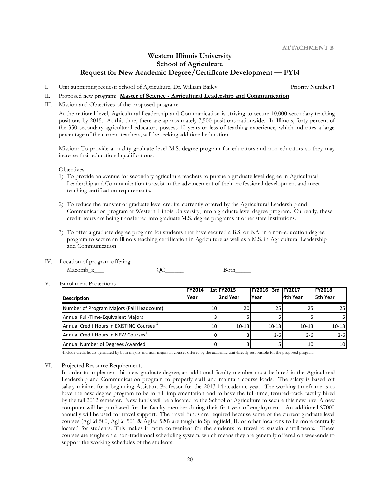## **Western Illinois University School of Agriculture Request for New Academic Degree/Certificate Development — FY14**

I. Unit submitting request: School of Agriculture, Dr. William Bailey Priority Number 1

- II. Proposed new program: **Master of Science - Agricultural Leadership and Communication**
- III. Mission and Objectives of the proposed program:

At the national level, Agricultural Leadership and Communication is striving to secure 10,000 secondary teaching positions by 2015. At this time, there are approximately 7,500 positions nationwide. In Illinois, forty-percent of the 350 secondary agricultural educators possess 10 years or less of teaching experience, which indicates a large percentage of the current teachers, will be seeking additional education.

Mission: To provide a quality graduate level M.S. degree program for educators and non-educators so they may increase their educational qualifications.

Objectives:

- 1) To provide an avenue for secondary agriculture teachers to pursue a graduate level degree in Agricultural Leadership and Communication to assist in the advancement of their professional development and meet teaching certification requirements.
- 2) To reduce the transfer of graduate level credits, currently offered by the Agricultural Leadership and Communication program at Western Illinois University, into a graduate level degree program. Currently, these credit hours are being transferred into graduate M.S. degree programs at other state institutions.
- 3) To offer a graduate degree program for students that have secured a B.S. or B.A. in a non-education degree program to secure an Illinois teaching certification in Agriculture as well as a M.S. in Agricultural Leadership and Communication.
- IV. Location of program offering:

Macomb\_x\_\_\_ QC\_\_\_\_\_ Both\_\_\_\_\_

V. Enrollment Projections

| <b>Description</b>                                   | <b>FY2014</b><br>Year | <b>1stlFY2015</b><br>2nd Year | <b>IFY2016</b><br>Year | 3rd IFY2017<br>4th Year | <b>IFY2018</b><br>5th Year |
|------------------------------------------------------|-----------------------|-------------------------------|------------------------|-------------------------|----------------------------|
| Number of Program Majors (Fall Headcount)            | 10                    | 20                            | <b>25</b>              | 25                      | 25                         |
| Annual Full-Time-Equivalent Majors                   |                       |                               |                        |                         |                            |
| Annual Credit Hours in EXISTING Courses <sup>+</sup> | 10                    | $10-13$                       | $10 - 13$              | $10-13$                 | $10 - 13$                  |
| Annual Credit Hours in NEW Courses <sup>1</sup>      |                       |                               | $3 - 6$                | $3 - 6$                 | $3 - 6$                    |
| Annual Number of Degrees Awarded                     |                       |                               |                        | 10                      | 10 <sup>1</sup>            |

<sup>1</sup>Include credit hours generated by both majors and non-majors in courses offered by the academic unit directly responsible for the proposed program.

#### VI. Projected Resource Requirements

In order to implement this new graduate degree, an additional faculty member must be hired in the Agricultural Leadership and Communication program to properly staff and maintain course loads. The salary is based off salary minima for a beginning Assistant Professor for the 2013-14 academic year. The working timeframe is to have the new degree program to be in full implementation and to have the full-time, tenured-track faculty hired by the fall 2012 semester. New funds will be allocated to the School of Agriculture to secure this new hire. A new computer will be purchased for the faculty member during their first year of employment. An additional \$7000 annually will be used for travel support. The travel funds are required because some of the current graduate level courses (AgEd 500, AgEd 501 & AgEd 520) are taught in Springfield, IL or other locations to be more centrally located for students. This makes it more convenient for the students to travel to sustain enrollments. These courses are taught on a non-traditional scheduling system, which means they are generally offered on weekends to support the working schedules of the students.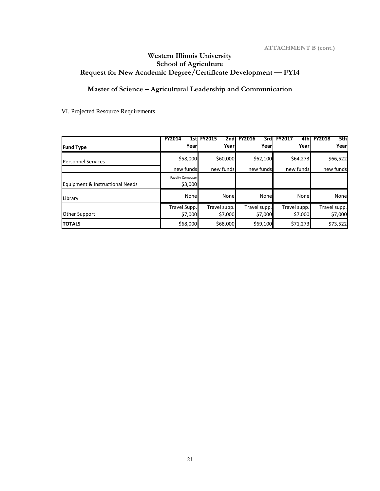# **Western Illinois University School of Agriculture Request for New Academic Degree/Certificate Development — FY14**

**Master of Science – Agricultural Leadership and Communication**

VI. Projected Resource Requirements

| <b>Fund Type</b>                | <b>FY2014</b><br>1stl<br>Yearl     | <b>FY2015</b><br>2nd<br>Yearl | <b>FY2016</b><br>3rdl<br>Yearl | 4th<br>Yearl            | 5th<br><b>FY2018</b><br>Yearl |
|---------------------------------|------------------------------------|-------------------------------|--------------------------------|-------------------------|-------------------------------|
| <b>Personnel Services</b>       | \$58,000                           | \$60,000                      | \$62,100                       | \$64,273                | \$66,522                      |
|                                 | new funds                          | new funds                     | new funds                      | new funds               | new funds                     |
| Equipment & Instructional Needs | <b>Faculty Computer</b><br>\$3,000 |                               |                                |                         |                               |
| Library                         | None                               | None                          | None                           | None                    | None                          |
| <b>Other Support</b>            | Travel Supp.<br>\$7,000            | Travel supp.<br>\$7,000       | Travel supp.<br>\$7,000        | Travel supp.<br>\$7,000 | Travel supp.<br>\$7,000       |
| <b>TOTALS</b>                   | \$68,000                           | \$68,000                      | \$69,100                       | \$71,273                | \$73,522                      |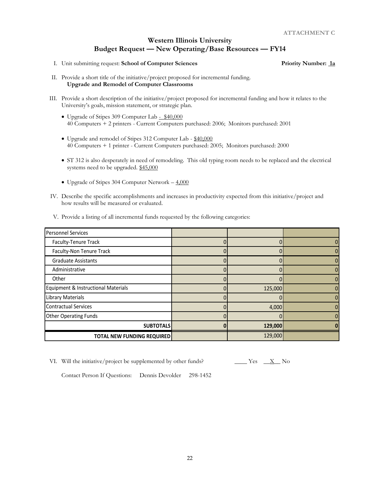I. Unit submitting request: **School of Computer Sciences Priority Number: 1a**

- II. Provide a short title of the initiative/project proposed for incremental funding. **Upgrade and Remodel of Computer Classrooms**
- III. Provide a short description of the initiative/project proposed for incremental funding and how it relates to the University's goals, mission statement, or strategic plan.
	- Upgrade of Stipes 309 Computer Lab \$40,000 40 Computers + 2 printers - Current Computers purchased: 2006; Monitors purchased: 2001
	- Upgrade and remodel of Stipes 312 Computer Lab \$40,000 40 Computers + 1 printer - Current Computers purchased: 2005; Monitors purchased: 2000
	- ST 312 is also desperately in need of remodeling. This old typing room needs to be replaced and the electrical systems need to be upgraded. \$45,000
	- Upgrade of Stipes 304 Computer Network  $-4,000$
- IV. Describe the specific accomplishments and increases in productivity expected from this initiative/project and how results will be measured or evaluated.

| V. Provide a listing of all incremental funds requested by the following categories: |  |
|--------------------------------------------------------------------------------------|--|
|                                                                                      |  |
|                                                                                      |  |

| <b>Personnel Services</b>           |         |  |
|-------------------------------------|---------|--|
| Faculty-Tenure Track                |         |  |
| Faculty-Non Tenure Track            |         |  |
| <b>Graduate Assistants</b>          |         |  |
| Administrative                      |         |  |
| Other                               |         |  |
| Equipment & Instructional Materials | 125,000 |  |
| <b>Library Materials</b>            |         |  |
| <b>Contractual Services</b>         | 4,000   |  |
| <b>Other Operating Funds</b>        |         |  |
| <b>SUBTOTALS</b>                    | 129,000 |  |
| <b>TOTAL NEW FUNDING REQUIRED</b>   | 129,000 |  |

VI. Will the initiative/project be supplemented by other funds?  $\frac{\ }{\ }$  Yes  $\frac{\ }{ }$  X No

Contact Person If Questions: Dennis Devolder 298-1452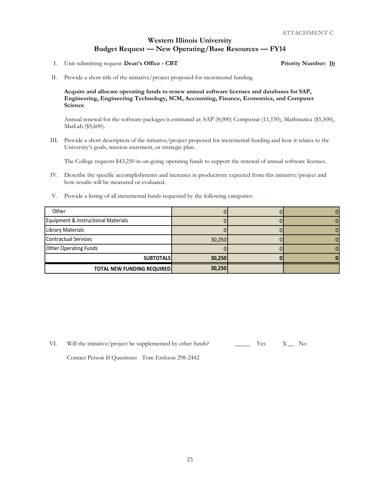I. Unit submitting request: **Dean's Office - CBT Priority Number: 1b**

II. Provide a short title of the initiative/project proposed for incremental funding.

#### **Acquire and allocate operating funds to renew annual software licenses and databases for SAP, Engineering, Engineering Technology, SCM, Accounting, Finance, Economics, and Computer Science**.

Annual renewal for the software packages is estimated at: SAP (8,000) Compustat (11,150), Mathmatica (\$5,500), MatLab (\$5,600).

III. Provide a short description of the initiative/project proposed for incremental funding and how it relates to the University's goals, mission statement, or strategic plan.

The College requests \$43,250 in on-going operating funds to support the renewal of annual software licenses.

- IV. Describe the specific accomplishments and increases in productivity expected from this initiative/project and how results will be measured or evaluated.
- V. Provide a listing of all incremental funds requested by the following categories:

| Other                               |        |  |
|-------------------------------------|--------|--|
| Equipment & Instructional Materials |        |  |
| <b>Library Materials</b>            |        |  |
| <b>Contractual Services</b>         | 30,250 |  |
| <b>Other Operating Funds</b>        |        |  |
| <b>SUBTOTALS</b>                    | 30,250 |  |
| <b>TOTAL NEW FUNDING REQUIRED</b>   | 30,250 |  |

VI. Will the initiative/project be supplemented by other funds?  $\overline{\phantom{a}}$  Yes  $\overline{\phantom{a}}$  X\_ No

Contact Person If Questions: Tom Erekson 298-2442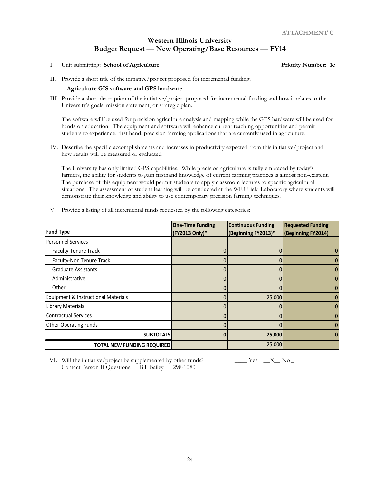I. Unit submitting: **School of Agriculture Priority Number: 1c**

II. Provide a short title of the initiative/project proposed for incremental funding.

#### **Agriculture GIS software and GPS hardware**

III. Provide a short description of the initiative/project proposed for incremental funding and how it relates to the University's goals, mission statement, or strategic plan.

The software will be used for precision agriculture analysis and mapping while the GPS hardware will be used for hands on education. The equipment and software will enhance current teaching opportunities and permit students to experience, first hand, precision farming applications that are currently used in agriculture.

IV. Describe the specific accomplishments and increases in productivity expected from this initiative/project and how results will be measured or evaluated.

The University has only limited GPS capabilities. While precision agriculture is fully embraced by today's farmers, the ability for students to gain firsthand knowledge of current farming practices is almost non-existent. The purchase of this equipment would permit students to apply classroom lectures to specific agricultural situations. The assessment of student learning will be conducted at the WIU Field Laboratory where students will demonstrate their knowledge and ability to use contemporary precision farming techniques.

|                                     | <b>One-Time Funding</b> | <b>Continuous Funding</b> | <b>Requested Funding</b> |
|-------------------------------------|-------------------------|---------------------------|--------------------------|
| <b>Fund Type</b>                    | (FY2013 Only)*          | (Beginning FY2013)*       | (Beginning FY2014)       |
| <b>Personnel Services</b>           |                         |                           |                          |
| Faculty-Tenure Track                |                         |                           | 0                        |
| Faculty-Non Tenure Track            | $\Omega$                | 0                         | $\overline{0}$           |
| <b>Graduate Assistants</b>          |                         |                           | $\overline{0}$           |
| Administrative                      |                         |                           | $\vert 0 \vert$          |
| Other                               |                         |                           | $\overline{0}$           |
| Equipment & Instructional Materials |                         | 25,000                    | 0                        |
| Library Materials                   |                         |                           | $\overline{0}$           |
| <b>Contractual Services</b>         |                         |                           | $\overline{0}$           |
| <b>Other Operating Funds</b>        |                         |                           | 0                        |
| <b>SUBTOTALS</b>                    | O                       | 25,000                    |                          |
| <b>TOTAL NEW FUNDING REQUIRED</b>   |                         | 25,000                    |                          |

V. Provide a listing of all incremental funds requested by the following categories:

VI. Will the initiative/project be supplemented by other funds?  $\frac{X}{X}$  No \_\_\_\_\_\_ Yes  $\frac{X}{X}$  No \_\_\_\_\_\_\_\_ Contact Person If Questions: Bill Bailey 298-1080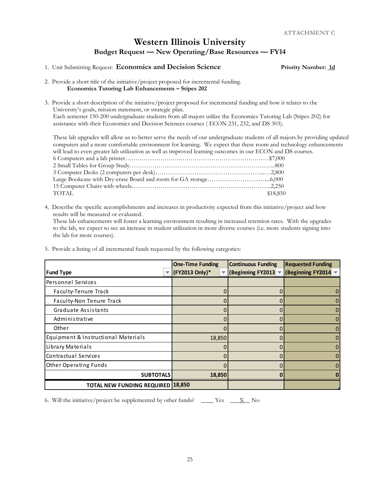#### 1. Unit Submitting Request: **Economics and Decision Science Priority Number: 1d**

#### 2. Provide a short title of the initiative/project proposed for incremental funding. **Economics Tutoring Lab Enhancements – Stipes 202**

3. Provide a short description of the initiative/project proposed for incremental funding and how it relates to the University's goals, mission statement, or strategic plan. Each semester 150-200 undergraduate students from all majors utilize the Economics Tutoring Lab (Stipes 202) for assistance with their Economics and Decision Sciences courses ( ECON 231, 232, and DS 303).

These lab upgrades will allow us to better serve the needs of our undergraduate students of all majors by providing updated computers and a more comfortable environment for learning. We expect that these room and technology enhancements will lead to even greater lab utilization as well as improved learning outcomes in our ECON and DS courses.

| will reach to even greater has attinuation as well as improved rearring outcomes in our 1990 Carta |          |
|----------------------------------------------------------------------------------------------------|----------|
|                                                                                                    |          |
|                                                                                                    |          |
|                                                                                                    |          |
|                                                                                                    |          |
|                                                                                                    |          |
| TOTAL                                                                                              | \$18,850 |
|                                                                                                    |          |

4. Describe the specific accomplishments and increases in productivity expected from this initiative/project and how results will be measured or evaluated.

These lab enhancements will foster a learning environment resulting in increased retention rates. With the upgrades to the lab, we expect to see an increase in student utilization in more diverse courses (i.e. more students signing into the lab for more courses).

5. Provide a listing of all incremental funds requested by the following categories:

|                                          | <b>One-Time Funding</b> | <b>Continuous Funding</b> | <b>Requested Funding</b> |
|------------------------------------------|-------------------------|---------------------------|--------------------------|
| <b>Fund Type</b>                         | (FY2013 Only)*          | (Beginning FY2013 =       | (Beginning FY2014 -      |
| Personnel Services                       |                         |                           |                          |
| Faculty-Tenure Track                     |                         | 0                         |                          |
| Faculty-Non Tenure Track                 |                         | 0                         |                          |
| Graduate Assistants                      |                         | 0                         |                          |
| Administrative                           |                         | 0                         |                          |
| Other                                    |                         | 0                         |                          |
| Equipment & Instructional Materials      | 18,850                  | 0                         |                          |
| Library Materials                        |                         | 0                         |                          |
| Contractual Services                     |                         | በ                         |                          |
| <b>Other Operating Funds</b>             |                         | 0                         |                          |
| <b>SUBTOTALS</b>                         | 18,850                  | O                         |                          |
| <b>TOTAL NEW FUNDING REQUIRED 18,850</b> |                         |                           |                          |

6. Will the initiative/project be supplemented by other funds? \_\_\_\_ Yes  $\_\_\_X$  No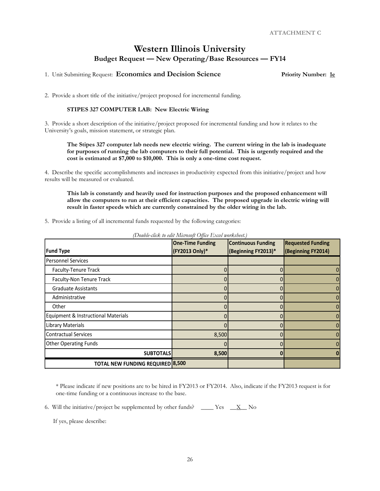1. Unit Submitting Request: **Economics and Decision Science Priority Number: 1e**

2. Provide a short title of the initiative/project proposed for incremental funding.

#### **STIPES 327 COMPUTER LAB: New Electric Wiring**

3. Provide a short description of the initiative/project proposed for incremental funding and how it relates to the University's goals, mission statement, or strategic plan.

**The Stipes 327 computer lab needs new electric wiring. The current wiring in the lab is inadequate for purposes of running the lab computers to their full potential. This is urgently required and the cost is estimated at \$7,000 to \$10,000. This is only a one-time cost request.**

4. Describe the specific accomplishments and increases in productivity expected from this initiative/project and how results will be measured or evaluated.

**This lab is constantly and heavily used for instruction purposes and the proposed enhancement will allow the computers to run at their efficient capacities. The proposed upgrade in electric wiring will result in faster speeds which are currently constrained by the older wiring in the lab.**

5. Provide a listing of all incremental funds requested by the following categories:

| <b>Fund Type</b>                        | <b>One-Time Funding</b><br>(FY2013 Only)* | <b>Continuous Funding</b><br>(Beginning FY2013)* | <b>Requested Funding</b><br>(Beginning FY2014) |
|-----------------------------------------|-------------------------------------------|--------------------------------------------------|------------------------------------------------|
| <b>Personnel Services</b>               |                                           |                                                  |                                                |
| Faculty-Tenure Track                    |                                           |                                                  |                                                |
| Faculty-Non Tenure Track                |                                           | 0                                                |                                                |
| <b>Graduate Assistants</b>              |                                           |                                                  |                                                |
| Administrative                          |                                           | 0                                                |                                                |
| Other                                   |                                           | 0                                                |                                                |
| Equipment & Instructional Materials     |                                           |                                                  |                                                |
| <b>Library Materials</b>                |                                           |                                                  |                                                |
| <b>Contractual Services</b>             | 8,500                                     | n                                                |                                                |
| <b>Other Operating Funds</b>            |                                           |                                                  |                                                |
| <b>SUBTOTALS</b>                        | 8,500                                     |                                                  |                                                |
| <b>TOTAL NEW FUNDING REQUIRED 8,500</b> |                                           |                                                  |                                                |

*(Double-click to edit Microsoft Office Excel worksheet.)*

\* Please indicate if new positions are to be hired in FY2013 or FY2014. Also, indicate if the FY2013 request is for one-time funding or a continuous increase to the base.

6. Will the initiative/project be supplemented by other funds? \_\_\_\_\_ Yes  $\_\_\_X$  No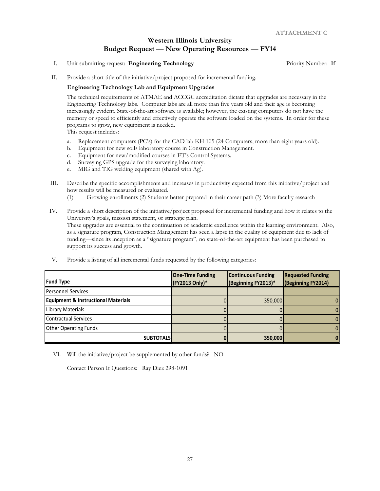I. Unit submitting request: **Engineering Technology Priority Number:** 16

II. Provide a short title of the initiative/project proposed for incremental funding.

#### **Engineering Technology Lab and Equipment Upgrades**

The technical requirements of ATMAE and ACCGC accreditation dictate that upgrades are necessary in the Engineering Technology labs. Computer labs are all more than five years old and their age is becoming increasingly evident. State-of-the-art software is available; however, the existing computers do not have the memory or speed to efficiently and effectively operate the software loaded on the systems. In order for these programs to grow, new equipment is needed.

This request includes:

- a. Replacement computers (PC's) for the CAD lab KH 105 (24 Computers, more than eight years old).
- b. Equipment for new soils laboratory course in Construction Management.
- c. Equipment for new/modified courses in ET's Control Systems.
- d. Surveying GPS upgrade for the surveying laboratory.
- e. MIG and TIG welding equipment (shared with Ag).
- III. Describe the specific accomplishments and increases in productivity expected from this initiative/project and how results will be measured or evaluated.
	- (1) Growing enrollments (2) Students better prepared in their career path (3) More faculty research
- IV. Provide a short description of the initiative/project proposed for incremental funding and how it relates to the University's goals, mission statement, or strategic plan. These upgrades are essential to the continuation of academic excellence within the learning environment. Also, as a signature program, Construction Management has seen a lapse in the quality of equipment due to lack of funding—since its inception as a "signature program", no state-of-the-art equipment has been purchased to support its success and growth.
- V. Provide a listing of all incremental funds requested by the following categories:

| <b>Fund Type</b>                               | <b>One-Time Funding</b><br>(FY2013 Only)* | <b>Continuous Funding</b><br>(Beginning FY2013)* | <b>Requested Funding</b><br>(Beginning FY2014) |
|------------------------------------------------|-------------------------------------------|--------------------------------------------------|------------------------------------------------|
| <b>Personnel Services</b>                      |                                           |                                                  |                                                |
| <b>Equipment &amp; Instructional Materials</b> |                                           | 350,000                                          |                                                |
| <b>Library Materials</b>                       |                                           |                                                  | 0                                              |
| Contractual Services                           |                                           |                                                  | $\Omega$                                       |
| <b>Other Operating Funds</b>                   |                                           |                                                  | 0                                              |
| <b>SUBTOTALS</b>                               |                                           | 350,000                                          |                                                |

VI. Will the initiative/project be supplemented by other funds? NO

Contact Person If Questions: Ray Diez 298-1091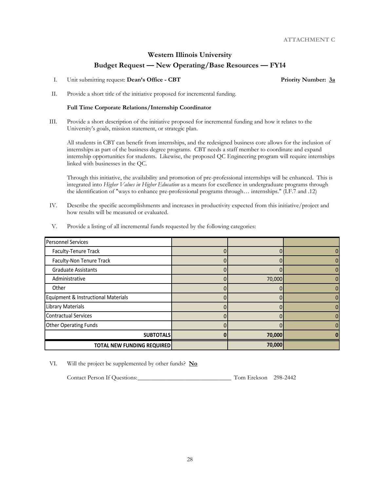I. Unit submitting request: **Dean's Office - CBT Priority Number: 3a**

II. Provide a short title of the initiative proposed for incremental funding.

#### **Full Time Corporate Relations/Internship Coordinator**

III. Provide a short description of the initiative proposed for incremental funding and how it relates to the University's goals, mission statement, or strategic plan.

All students in CBT can benefit from internships, and the redesigned business core allows for the inclusion of internships as part of the business degree programs. CBT needs a staff member to coordinate and expand internship opportunities for students. Likewise, the proposed QC Engineering program will require internships linked with businesses in the QC.

Through this initiative, the availability and promotion of pre-professional internships will be enhanced. This is integrated into *Higher Values in Higher Education* as a means for excellence in undergraduate programs through the identification of "ways to enhance pre-professional programs through… internships." (I.F.7 and .12)

IV. Describe the specific accomplishments and increases in productivity expected from this initiative/project and how results will be measured or evaluated.

| <b>Personnel Services</b>           |        |  |
|-------------------------------------|--------|--|
| Faculty-Tenure Track                |        |  |
| Faculty-Non Tenure Track            |        |  |
| <b>Graduate Assistants</b>          |        |  |
| Administrative                      | 70,000 |  |
| Other                               |        |  |
| Equipment & Instructional Materials |        |  |
| <b>Library Materials</b>            |        |  |
| <b>Contractual Services</b>         |        |  |
| <b>Other Operating Funds</b>        |        |  |
| <b>SUBTOTALS</b>                    | 70,000 |  |
| <b>TOTAL NEW FUNDING REQUIRED</b>   | 70,000 |  |

V. Provide a listing of all incremental funds requested by the following categories:

VI. Will the project be supplemented by other funds? **No**

Contact Person If Questions:\_\_\_\_\_\_\_\_\_\_\_\_\_\_\_\_\_\_\_\_\_\_\_\_\_\_\_\_\_\_ Tom Erekson 298-2442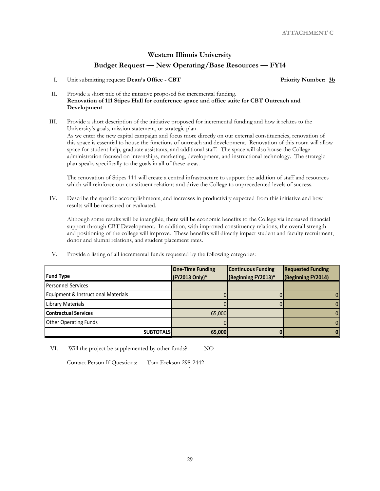I. Unit submitting request: **Dean's Office - CBT Priority Number: 3b** 

- II. Provide a short title of the initiative proposed for incremental funding. **Renovation of 111 Stipes Hall for conference space and office suite for CBT Outreach and Development**
- III. Provide a short description of the initiative proposed for incremental funding and how it relates to the University's goals, mission statement, or strategic plan. As we enter the new capital campaign and focus more directly on our external constituencies, renovation of this space is essential to house the functions of outreach and development. Renovation of this room will allow space for student help, graduate assistants, and additional staff. The space will also house the College administration focused on internships, marketing, development, and instructional technology. The strategic plan speaks specifically to the goals in all of these areas.

The renovation of Stipes 111 will create a central infrastructure to support the addition of staff and resources which will reinforce our constituent relations and drive the College to unprecedented levels of success.

IV. Describe the specific accomplishments, and increases in productivity expected from this initiative and how results will be measured or evaluated.

Although some results will be intangible, there will be economic benefits to the College via increased financial support through CBT Development. In addition, with improved constituency relations, the overall strength and positioning of the college will improve. These benefits will directly impact student and faculty recruitment, donor and alumni relations, and student placement rates.

V. Provide a listing of all incremental funds requested by the following categories:

|                                     | <b>One-Time Funding</b> | <b>Continuous Funding</b> | <b>Requested Funding</b> |
|-------------------------------------|-------------------------|---------------------------|--------------------------|
| <b>Fund Type</b>                    | (FY2013 Only)*          | (Beginning FY2013)*       | (Beginning FY2014)       |
| <b>Personnel Services</b>           |                         |                           |                          |
| Equipment & Instructional Materials |                         |                           |                          |
| <b>Library Materials</b>            |                         |                           |                          |
| <b>Contractual Services</b>         | 65,000                  |                           |                          |
| <b>Other Operating Funds</b>        |                         |                           |                          |
| <b>SUBTOTALS</b>                    | 65,000                  |                           |                          |

`

VI. Will the project be supplemented by other funds? NO

Contact Person If Questions: Tom Erekson 298-2442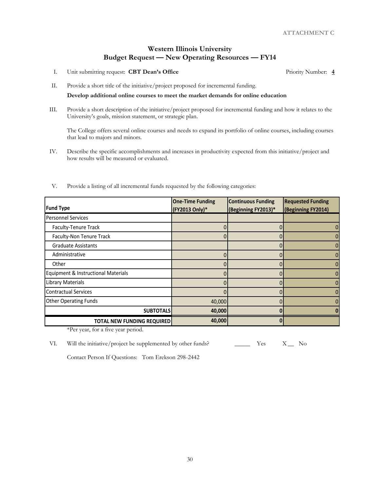I. Unit submitting request: **CBT Dean's Office** Priority Number: **4**

II. Provide a short title of the initiative/project proposed for incremental funding.

#### **Develop additional online courses to meet the market demands for online education**

III. Provide a short description of the initiative/project proposed for incremental funding and how it relates to the University's goals, mission statement, or strategic plan.

The College offers several online courses and needs to expand its portfolio of online courses, including courses that lead to majors and minors.

IV. Describe the specific accomplishments and increases in productivity expected from this initiative/project and how results will be measured or evaluated.

| <b>Fund Type</b>                    | <b>One-Time Funding</b><br>(FY2013 Only)* | <b>Continuous Funding</b><br>(Beginning FY2013)* | <b>Requested Funding</b><br>(Beginning FY2014) |
|-------------------------------------|-------------------------------------------|--------------------------------------------------|------------------------------------------------|
| <b>Personnel Services</b>           |                                           |                                                  |                                                |
| Faculty-Tenure Track                |                                           | 0                                                | 0                                              |
| Faculty-Non Tenure Track            |                                           | 0                                                |                                                |
| <b>Graduate Assistants</b>          |                                           |                                                  |                                                |
| Administrative                      |                                           |                                                  | 0                                              |
| Other                               |                                           | 0                                                |                                                |
| Equipment & Instructional Materials |                                           | 0                                                |                                                |
| <b>Library Materials</b>            |                                           | 0                                                |                                                |
| <b>Contractual Services</b>         |                                           |                                                  |                                                |
| <b>Other Operating Funds</b>        | 40,000                                    | 0                                                |                                                |
| <b>SUBTOTALS</b>                    | 40,000                                    | 0                                                |                                                |
| <b>TOTAL NEW FUNDING REQUIRED</b>   | 40,000                                    | 0                                                |                                                |

V. Provide a listing of all incremental funds requested by the following categories:

\*Per year, for a five year period.

Contact Person If Questions: Tom Erekson 298-2442

VI. Will the initiative/project be supplemented by other funds?  $\qquad \qquad \qquad \qquad \text{Yes} \qquad \text{X} \qquad \text{No}$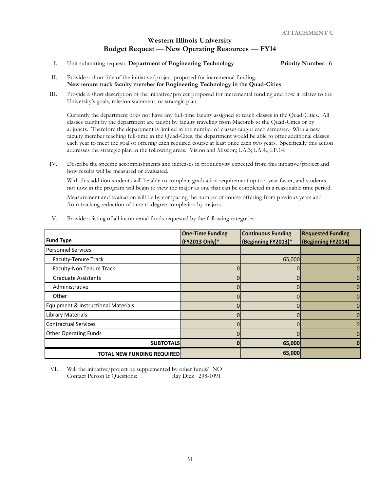I. Unit submitting request: **Department of Engineering Technology Priority Number: 6**

- II. Provide a short title of the initiative/project proposed for incremental funding. **New tenure track faculty member for Engineering Technology in the Quad-Cities**
- III. Provide a short description of the initiative/project proposed for incremental funding and how it relates to the University's goals, mission statement, or strategic plan.

Currently the department does not have any full-time faculty assigned to teach classes in the Quad-Cities. All classes taught by the department are taught by faculty traveling from Macomb to the Quad-Cities or by adjuncts. Therefore the department is limited in the number of classes taught each semester. With a new faculty member teaching full-time in the Quad-Cites, the department would be able to offer additional classes each year to meet the goal of offering each required course at least once each two years. Specifically this action addresses the strategic plan in the following areas: Vision and Mission; I.A.3; I.A.4.; I.F.14.

IV. Describe the specific accomplishments and increases in productivity expected from this initiative/project and how results will be measured or evaluated.

With this addition students will be able to complete graduation requirement up to a year faster, and students not now in the program will begin to view the major as one that can be completed in a reasonable time period.

Measurement and evaluation will be by comparing the number of course offering from previous years and from tracking reduction of time to degree completion by majors.

| <b>Fund Type</b>                    | <b>One-Time Funding</b><br>(FY2013 Only)* | <b>Continuous Funding</b><br>(Beginning FY2013)* | <b>Requested Funding</b><br>(Beginning FY2014) |
|-------------------------------------|-------------------------------------------|--------------------------------------------------|------------------------------------------------|
| <b>Personnel Services</b>           |                                           |                                                  |                                                |
| <b>Faculty-Tenure Track</b>         |                                           | 65,000                                           | 0                                              |
| Faculty-Non Tenure Track            |                                           | 0                                                | $\overline{0}$                                 |
| <b>Graduate Assistants</b>          |                                           |                                                  | 0                                              |
| Administrative                      |                                           |                                                  | $\overline{0}$                                 |
| Other                               |                                           |                                                  | $\overline{0}$                                 |
| Equipment & Instructional Materials |                                           |                                                  | 0                                              |
| <b>Library Materials</b>            |                                           |                                                  | 0                                              |
| <b>Contractual Services</b>         |                                           |                                                  | 0                                              |
| <b>Other Operating Funds</b>        |                                           |                                                  | 0                                              |
| <b>SUBTOTALS</b>                    |                                           | 65,000                                           |                                                |
| <b>TOTAL NEW FUNDING REQUIRED</b>   |                                           | 65,000                                           |                                                |

V. Provide a listing of all incremental funds requested by the following categories:

VI. Will the initiative/project be supplemented by other funds? NO Contact Person If Questions: Ray Diez 298-1091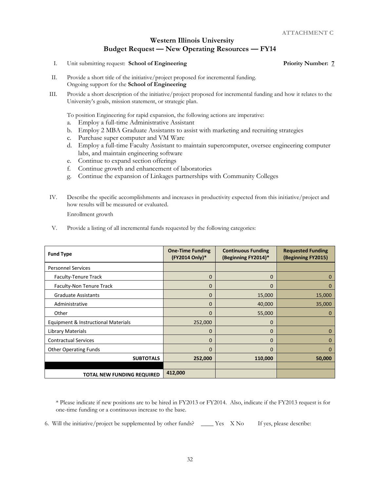I. Unit submitting request: **School of Engineering Priority Number: 7** Priority Number: 7

- II. Provide a short title of the initiative/project proposed for incremental funding. Ongoing support for the **School of Engineering**
- III. Provide a short description of the initiative/project proposed for incremental funding and how it relates to the University's goals, mission statement, or strategic plan.

To position Engineering for rapid expansion, the following actions are imperative:

- a. Employ a full-time Administrative Assistant
- b. Employ 2 MBA Graduate Assistants to assist with marketing and recruiting strategies
- c. Purchase super computer and VM Ware
- d. Employ a full-time Faculty Assistant to maintain supercomputer, oversee engineering computer labs, and maintain engineering software
- e. Continue to expand section offerings
- f. Continue growth and enhancement of laboratories
- g. Continue the expansion of Linkages partnerships with Community Colleges
- IV. Describe the specific accomplishments and increases in productivity expected from this initiative/project and how results will be measured or evaluated.

Enrollment growth

V. Provide a listing of all incremental funds requested by the following categories:

| <b>Fund Type</b>                    | <b>One-Time Funding</b><br>(FY2014 Only)* | <b>Continuous Funding</b><br>(Beginning FY2014)* | <b>Requested Funding</b><br>(Beginning FY2015) |
|-------------------------------------|-------------------------------------------|--------------------------------------------------|------------------------------------------------|
| <b>Personnel Services</b>           |                                           |                                                  |                                                |
| <b>Faculty-Tenure Track</b>         | $\mathbf 0$                               | $\mathbf{0}$                                     | $\Omega$                                       |
| Faculty-Non Tenure Track            | $\Omega$                                  | $\Omega$                                         | $\Omega$                                       |
| <b>Graduate Assistants</b>          | $\Omega$                                  | 15,000                                           | 15,000                                         |
| Administrative                      | $\Omega$                                  | 40,000                                           | 35,000                                         |
| Other                               | $\Omega$                                  | 55,000                                           | 0                                              |
| Equipment & Instructional Materials | 252,000                                   | $\mathbf 0$                                      |                                                |
| Library Materials                   | $\Omega$                                  | $\Omega$                                         | $\Omega$                                       |
| <b>Contractual Services</b>         | $\overline{0}$                            | $\Omega$                                         | $\Omega$                                       |
| <b>Other Operating Funds</b>        | $\Omega$                                  | $\Omega$                                         | $\Omega$                                       |
| <b>SUBTOTALS</b>                    | 252,000                                   | 110,000                                          | 50,000                                         |
|                                     |                                           |                                                  |                                                |
| <b>TOTAL NEW FUNDING REQUIRED</b>   | 412,000                                   |                                                  |                                                |

\* Please indicate if new positions are to be hired in FY2013 or FY2014. Also, indicate if the FY2013 request is for one-time funding or a continuous increase to the base.

6. Will the initiative/project be supplemented by other funds? \_\_\_\_ Yes X No If yes, please describe: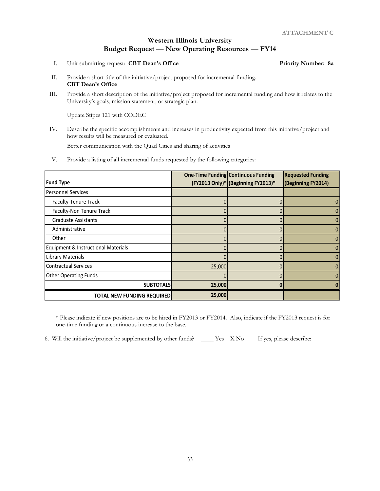I. Unit submitting request: **CBT Dean's Office Priority Number: 8a**

- II. Provide a short title of the initiative/project proposed for incremental funding. **CBT Dean's Office**
- III. Provide a short description of the initiative/project proposed for incremental funding and how it relates to the University's goals, mission statement, or strategic plan.

Update Stipes 121 with CODEC

IV. Describe the specific accomplishments and increases in productivity expected from this initiative/project and how results will be measured or evaluated.

Better communication with the Quad Cities and sharing of activities

V. Provide a listing of all incremental funds requested by the following categories:

|                                                |        | One-Time Funding Continuous Funding | <b>Requested Funding</b> |
|------------------------------------------------|--------|-------------------------------------|--------------------------|
| <b>Fund Type</b>                               |        | (FY2013 Only)* (Beginning FY2013)*  | (Beginning FY2014)       |
| <b>Personnel Services</b>                      |        |                                     |                          |
| Faculty-Tenure Track                           |        |                                     |                          |
| Faculty-Non Tenure Track                       |        |                                     |                          |
| <b>Graduate Assistants</b>                     |        |                                     |                          |
| Administrative                                 |        |                                     |                          |
| Other                                          |        |                                     |                          |
| <b>Equipment &amp; Instructional Materials</b> |        |                                     |                          |
| <b>Library Materials</b>                       |        |                                     |                          |
| <b>Contractual Services</b>                    | 25,000 |                                     |                          |
| <b>Other Operating Funds</b>                   |        |                                     |                          |
| <b>SUBTOTALS</b>                               | 25,000 |                                     |                          |
| <b>TOTAL NEW FUNDING REQUIRED</b>              | 25,000 |                                     |                          |

\* Please indicate if new positions are to be hired in FY2013 or FY2014. Also, indicate if the FY2013 request is for one-time funding or a continuous increase to the base.

6. Will the initiative/project be supplemented by other funds? \_\_\_\_ Yes X No If yes, please describe: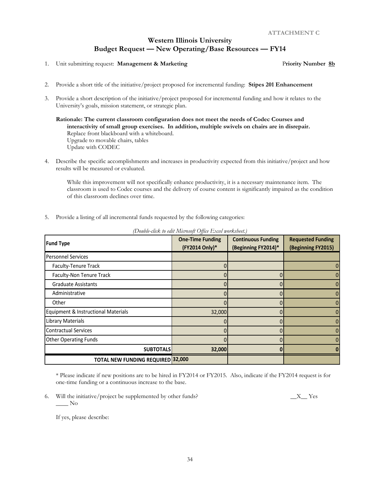1. Unit submitting request: **Management & Marketing** Priority Number 8b

- 2. Provide a short title of the initiative/project proposed for incremental funding: **Stipes 201 Enhancement**
- 3. Provide a short description of the initiative/project proposed for incremental funding and how it relates to the University's goals, mission statement, or strategic plan.

**Rationale: The current classroom configuration does not meet the needs of Codec Courses and interactivity of small group exercises. In addition, multiple swivels on chairs are in disrepair.**  Replace front blackboard with a whiteboard. Upgrade to movable chairs, tables Update with CODEC

4. Describe the specific accomplishments and increases in productivity expected from this initiative/project and how results will be measured or evaluated.

While this improvement will not specifically enhance productivity, it is a necessary maintenance item. The classroom is used to Codec courses and the delivery of course content is significantly impaired as the condition of this classroom declines over time.

5. Provide a listing of all incremental funds requested by the following categories:

| <b>Fund Type</b>                         | <b>One-Time Funding</b><br>(FY2014 Only)* | <b>Continuous Funding</b><br>(Beginning FY2014)* | <b>Requested Funding</b><br>(Beginning FY2015) |
|------------------------------------------|-------------------------------------------|--------------------------------------------------|------------------------------------------------|
| <b>Personnel Services</b>                |                                           |                                                  |                                                |
| Faculty-Tenure Track                     |                                           |                                                  | 0                                              |
| Faculty-Non Tenure Track                 |                                           |                                                  | 0                                              |
| <b>Graduate Assistants</b>               |                                           |                                                  | 0                                              |
| Administrative                           |                                           |                                                  | 0                                              |
| Other                                    |                                           |                                                  | $\mathbf{0}$                                   |
| Equipment & Instructional Materials      | 32,000                                    |                                                  | $\mathbf{0}$                                   |
| <b>Library Materials</b>                 |                                           |                                                  | $\mathbf{0}$                                   |
| <b>Contractual Services</b>              |                                           |                                                  | $\mathbf{0}$                                   |
| <b>Other Operating Funds</b>             |                                           |                                                  | $\Omega$                                       |
| <b>SUBTOTALS</b>                         | 32,000                                    |                                                  |                                                |
| <b>TOTAL NEW FUNDING REQUIRED 32,000</b> |                                           |                                                  |                                                |

*(Double-click to edit Microsoft Office Excel worksheet.)*

\* Please indicate if new positions are to be hired in FY2014 or FY2015. Also, indicate if the FY2014 request is for one-time funding or a continuous increase to the base.

6. Will the initiative/project be supplemented by other funds?  $\begin{array}{c} X \longrightarrow Y$  $\_\_$  No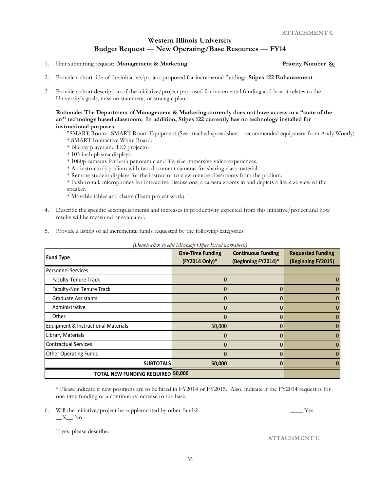- 1. Unit submitting request: **Management & Marketing Priority Number 8c**
- 2. Provide a short title of the initiative/project proposed for incremental funding: **Stipes 122 Enhancement**

**Rationale: The Department of Management & Marketing currently does not have access to a "state of the art" technology based classroom. In addition, Stipes 122 currently has no technology installed for instructional purposes.** 

"SMART Room - SMART Room Equipment (See attached spreadsheet - recommended equipment from Andy Woerly) \* SMART Interactive White Board.

- \* Blu-ray player and HD projector.
- \* 103-inch plasma displays.
- \* 1080p cameras for both panoramic and life-size immersive video experiences.
- \* An instructor's podium with two document cameras for sharing class material.
- \* Remote student displays for the instructor to view remote classrooms from the podium.

\* Push-to-talk microphones for interactive discussions; a camera zooms in and depicts a life-size view of the speaker.

- \* Movable tables and chairs (Team project work). "
- 4. Describe the specific accomplishments and increases in productivity expected from this initiative/project and how results will be measured or evaluated.
- 5. Provide a listing of all incremental funds requested by the following categories:

| <b>Fund Type</b>                         | <b>One-Time Funding</b><br>(FY2014 Only)* | <b>Continuous Funding</b><br>(Beginning FY2014)* | <b>Requested Funding</b><br>(Beginning FY2015) |
|------------------------------------------|-------------------------------------------|--------------------------------------------------|------------------------------------------------|
| <b>Personnel Services</b>                |                                           |                                                  |                                                |
| Faculty-Tenure Track                     |                                           |                                                  |                                                |
| Faculty-Non Tenure Track                 |                                           |                                                  |                                                |
| <b>Graduate Assistants</b>               |                                           |                                                  |                                                |
| Administrative                           |                                           |                                                  |                                                |
| Other                                    |                                           |                                                  |                                                |
| Equipment & Instructional Materials      | 50,000                                    |                                                  |                                                |
| <b>Library Materials</b>                 |                                           |                                                  |                                                |
| <b>Contractual Services</b>              |                                           | O                                                |                                                |
| <b>Other Operating Funds</b>             |                                           |                                                  |                                                |
| <b>SUBTOTALS</b>                         | 50,000                                    | $\mathbf{0}$                                     |                                                |
| <b>TOTAL NEW FUNDING REQUIRED 50,000</b> |                                           |                                                  |                                                |

*(Double-click to edit Microsoft Office Excel worksheet.)*

\* Please indicate if new positions are to be hired in FY2014 or FY2015. Also, indicate if the FY2014 request is for one-time funding or a continuous increase to the base.

6. Will the initiative/project be supplemented by other funds? \_\_\_\_\_ Yes  $\_X\_$  No

<sup>3.</sup> Provide a short description of the initiative/project proposed for incremental funding and how it relates to the University's goals, mission statement, or strategic plan.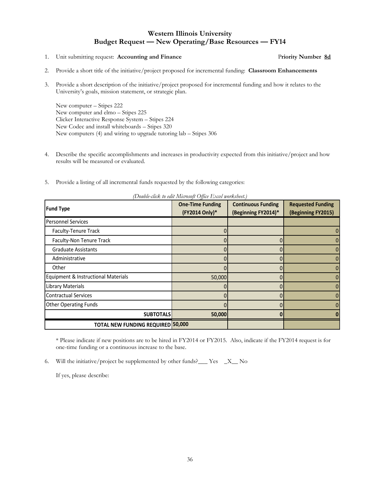1. Unit submitting request: **Accounting and Finance** P**riority Number 8d**

- 2. Provide a short title of the initiative/project proposed for incremental funding: **Classroom Enhancements**
- 3. Provide a short description of the initiative/project proposed for incremental funding and how it relates to the University's goals, mission statement, or strategic plan.

New computer – Stipes 222 New computer and elmo – Stipes 225 Clicker Interactive Response System – Stipes 224 New Codec and install whiteboards – Stipes 320 New computers (4) and wiring to upgrade tutoring lab – Stipes 306

- 4. Describe the specific accomplishments and increases in productivity expected from this initiative/project and how results will be measured or evaluated.
- 5. Provide a listing of all incremental funds requested by the following categories:

| <b>Fund Type</b>                         | $\cdots$ $\cdots$<br><b>One-Time Funding</b><br>(FY2014 Only)* | <b>Continuous Funding</b><br>(Beginning FY2014)* | <b>Requested Funding</b><br>(Beginning FY2015) |
|------------------------------------------|----------------------------------------------------------------|--------------------------------------------------|------------------------------------------------|
| <b>Personnel Services</b>                |                                                                |                                                  |                                                |
| Faculty-Tenure Track                     |                                                                |                                                  |                                                |
| Faculty-Non Tenure Track                 |                                                                |                                                  |                                                |
| <b>Graduate Assistants</b>               |                                                                |                                                  |                                                |
| Administrative                           |                                                                |                                                  |                                                |
| Other                                    |                                                                |                                                  |                                                |
| Equipment & Instructional Materials      | 50,000                                                         |                                                  |                                                |
| Library Materials                        |                                                                |                                                  |                                                |
| <b>Contractual Services</b>              |                                                                |                                                  |                                                |
| <b>Other Operating Funds</b>             |                                                                |                                                  |                                                |
| <b>SUBTOTALS</b>                         | 50,000                                                         |                                                  |                                                |
| <b>TOTAL NEW FUNDING REQUIRED 50,000</b> |                                                                |                                                  |                                                |

*(Double-click to edit Microsoft Office Excel worksheet.)*

\* Please indicate if new positions are to be hired in FY2014 or FY2015. Also, indicate if the FY2014 request is for one-time funding or a continuous increase to the base.

6. Will the initiative/project be supplemented by other funds?\_\_\_ Yes \_X\_\_ No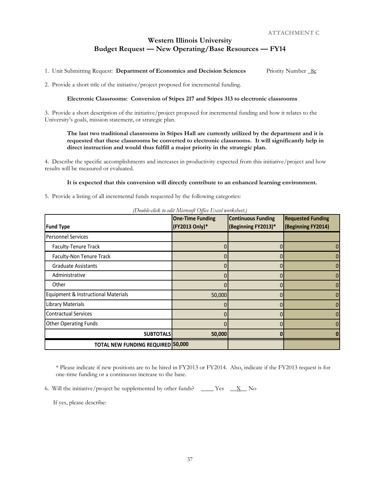1. Unit Submitting Request: **Department of Economics and Decision Sciences** Priority Number \_8e

2. Provide a short title of the initiative/project proposed for incremental funding.

#### **Electronic Classrooms: Conversion of Stipes 217 and Stipes 313 to electronic classrooms**

3. Provide a short description of the initiative/project proposed for incremental funding and how it relates to the University's goals, mission statement, or strategic plan.

#### **The last two traditional classrooms in Stipes Hall are currently utilized by the department and it is requested that these classrooms be converted to electronic classrooms. It will significantly help in direct instruction and would thus fulfill a major priority in the strategic plan.**

4. Describe the specific accomplishments and increases in productivity expected from this initiative/project and how results will be measured or evaluated.

#### **It is expected that this conversion will directly contribute to an enhanced learning environment.**

5. Provide a listing of all incremental funds requested by the following categories:

| <b>Fund Type</b>                    | $\sim$ 0.000 0.000 0.000 0.000 0.000 0.000 0.000 0.000 0.000 0.000 0.000 0.000 0.000 0.000 0.000 0.000 0.000 0.000 0.000 0.000 0.000 0.000 0.000 0.000 0.000 0.000 0.000 0.000 0.000 0.000 0.000 0.000 0.000 0.000 0.000 0.000<br><b>One-Time Funding</b><br>(FY2013 Only)* | <b>Continuous Funding</b><br>(Beginning FY2013)* | <b>Requested Funding</b><br>(Beginning FY2014) |
|-------------------------------------|-----------------------------------------------------------------------------------------------------------------------------------------------------------------------------------------------------------------------------------------------------------------------------|--------------------------------------------------|------------------------------------------------|
| <b>Personnel Services</b>           |                                                                                                                                                                                                                                                                             |                                                  |                                                |
| Faculty-Tenure Track                |                                                                                                                                                                                                                                                                             |                                                  |                                                |
| Faculty-Non Tenure Track            |                                                                                                                                                                                                                                                                             |                                                  |                                                |
| <b>Graduate Assistants</b>          |                                                                                                                                                                                                                                                                             |                                                  |                                                |
| Administrative                      |                                                                                                                                                                                                                                                                             |                                                  |                                                |
| Other                               |                                                                                                                                                                                                                                                                             |                                                  |                                                |
| Equipment & Instructional Materials | 50,000                                                                                                                                                                                                                                                                      |                                                  |                                                |
| Library Materials                   | 0                                                                                                                                                                                                                                                                           | 0                                                |                                                |
| <b>Contractual Services</b>         |                                                                                                                                                                                                                                                                             |                                                  |                                                |
| <b>Other Operating Funds</b>        |                                                                                                                                                                                                                                                                             |                                                  |                                                |
| <b>SUBTOTALS</b>                    | 50,000                                                                                                                                                                                                                                                                      |                                                  |                                                |
| TOTAL NEW FUNDING REQUIRED 50,000   |                                                                                                                                                                                                                                                                             |                                                  |                                                |

*(Double-click to edit Microsoft Office Excel worksheet.)*

\* Please indicate if new positions are to be hired in FY2013 or FY2014. Also, indicate if the FY2013 request is for one-time funding or a continuous increase to the base.

6. Will the initiative/project be supplemented by other funds? \_\_\_\_ Yes  $\_\_\_X$  No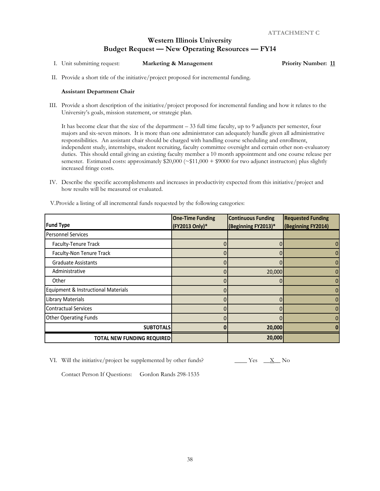- I. Unit submitting request: **Marketing & Management Priority Number: 11**
- II. Provide a short title of the initiative/project proposed for incremental funding.

#### **Assistant Department Chair**

III. Provide a short description of the initiative/project proposed for incremental funding and how it relates to the University's goals, mission statement, or strategic plan.

It has become clear that the size of the department – 33 full time faculty, up to 9 adjuncts per semester, four majors and six-seven minors. It is more than one administrator can adequately handle given all administrative responsibilities. An assistant chair should be charged with handling course scheduling and enrollment, independent study, internships, student recruiting, faculty committee oversight and certain other non-evaluatory duties. This should entail giving an existing faculty member a 10 month appointment and one course release per semester. Estimated costs: approximately  $$20,000 (~$11,000 + $9000$  for two adjunct instructors) plus slightly increased fringe costs.

IV. Describe the specific accomplishments and increases in productivity expected from this initiative/project and how results will be measured or evaluated.

|                                     | <b>One-Time Funding</b> | <b>Continuous Funding</b> | <b>Requested Funding</b> |
|-------------------------------------|-------------------------|---------------------------|--------------------------|
| <b>Fund Type</b>                    | (FY2013 Only)*          | (Beginning FY2013)*       | (Beginning FY2014)       |
| <b>Personnel Services</b>           |                         |                           |                          |
| Faculty-Tenure Track                |                         |                           |                          |
| Faculty-Non Tenure Track            |                         |                           |                          |
| <b>Graduate Assistants</b>          |                         |                           |                          |
| Administrative                      |                         | 20,000                    |                          |
| Other                               |                         |                           |                          |
| Equipment & Instructional Materials |                         |                           |                          |
| <b>Library Materials</b>            |                         |                           |                          |
| <b>Contractual Services</b>         |                         |                           |                          |
| <b>Other Operating Funds</b>        |                         |                           |                          |
| <b>SUBTOTALS</b>                    |                         | 20,000                    |                          |
| <b>TOTAL NEW FUNDING REQUIRED</b>   |                         | 20,000                    |                          |

V.Provide a listing of all incremental funds requested by the following categories:

VI. Will the initiative/project be supplemented by other funds?  $\frac{X}{X}$  Yes  $\frac{X}{X}$  No

Contact Person If Questions: Gordon Rands 298-1535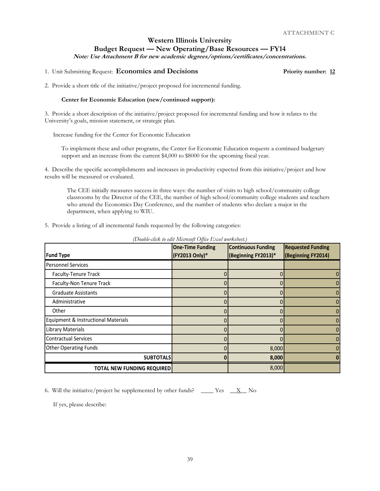**Note: Use Attachment B for new academic degrees/options/certificates/concentrations.**

#### 1. Unit Submitting Request: **Economics and Decisions Priority number: 12**

2. Provide a short title of the initiative/project proposed for incremental funding.

#### **Center for Economic Education (new/continued support):**

3. Provide a short description of the initiative/project proposed for incremental funding and how it relates to the University's goals, mission statement, or strategic plan.

Increase funding for the Center for Economic Education

To implement these and other programs, the Center for Economic Education requests a continued budgetary support and an increase from the current \$4,000 to \$8000 for the upcoming fiscal year.

4. Describe the specific accomplishments and increases in productivity expected from this initiative/project and how results will be measured or evaluated.

The CEE initially measures success in three ways: the number of visits to high school/community college classrooms by the Director of the CEE, the number of high school/community college students and teachers who attend the Economics Day Conference, and the number of students who declare a major in the department, when applying to WIU.

| 5. Provide a listing of all incremental funds requested by the following categories: |  |  |
|--------------------------------------------------------------------------------------|--|--|
|--------------------------------------------------------------------------------------|--|--|

| <b>Fund Type</b>                    | <b>One-Time Funding</b><br>(FY2013 Only)* | <b>Continuous Funding</b><br>(Beginning FY2013)* | <b>Requested Funding</b><br>(Beginning FY2014) |
|-------------------------------------|-------------------------------------------|--------------------------------------------------|------------------------------------------------|
| <b>Personnel Services</b>           |                                           |                                                  |                                                |
| Faculty-Tenure Track                |                                           |                                                  |                                                |
| Faculty-Non Tenure Track            |                                           |                                                  |                                                |
| <b>Graduate Assistants</b>          |                                           |                                                  |                                                |
| Administrative                      |                                           |                                                  |                                                |
| Other                               |                                           |                                                  |                                                |
| Equipment & Instructional Materials |                                           |                                                  |                                                |
| <b>Library Materials</b>            |                                           |                                                  |                                                |
| <b>Contractual Services</b>         |                                           |                                                  |                                                |
| <b>Other Operating Funds</b>        |                                           | 8,000                                            |                                                |
| <b>SUBTOTALS</b>                    |                                           | 8,000                                            |                                                |
| <b>TOTAL NEW FUNDING REQUIRED</b>   |                                           | 8,000                                            |                                                |

*(Double-click to edit Microsoft Office Excel worksheet.)*

6. Will the initiative/project be supplemented by other funds? \_\_\_\_ Yes  $\_\underline{X}$  No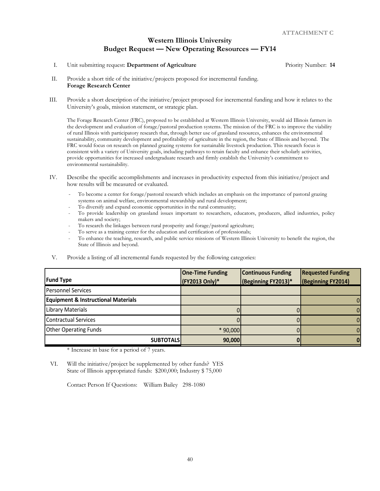I. Unit submitting request: **Department of Agriculture** Priority Number: 14

- II. Provide a short title of the initiative/projects proposed for incremental funding. **Forage Research Center**
- III. Provide a short description of the initiative/project proposed for incremental funding and how it relates to the University's goals, mission statement, or strategic plan.

The Forage Research Center (FRC), proposed to be established at Western Illinois University, would aid Illinois farmers in the development and evaluation of forage/pastoral production systems. The mission of the FRC is to improve the viability of rural Illinois with participatory research that, through better use of grassland resources, enhances the environmental sustainability, community development and profitability of agriculture in the region, the State of Illinois and beyond. The FRC would focus on research on planned grazing systems for sustainable livestock production. This research focus is consistent with a variety of University goals, including pathways to retain faculty and enhance their scholarly activities, provide opportunities for increased undergraduate research and firmly establish the University's commitment to environmental sustainability.

- IV. Describe the specific accomplishments and increases in productivity expected from this initiative/project and how results will be measured or evaluated.
	- To become a center for forage/pastoral research which includes an emphasis on the importance of pastoral grazing systems on animal welfare, environmental stewardship and rural development;
	- To diversify and expand economic opportunities in the rural community;
	- To provide leadership on grassland issues important to researchers, educators, producers, allied industries, policy makers and society;
	- To research the linkages between rural prosperity and forage/pastoral agriculture;
	- To serve as a training center for the education and certification of professionals;
	- To enhance the teaching, research, and public service missions of Western Illinois University to benefit the region, the State of Illinois and beyond.
- V. Provide a listing of all incremental funds requested by the following categories:

|                                                | <b>One-Time Funding</b> | <b>Continuous Funding</b> | <b>Requested Funding</b> |
|------------------------------------------------|-------------------------|---------------------------|--------------------------|
| <b>Fund Type</b>                               | (FY2013 Only)*          | (Beginning FY2013)*       | (Beginning FY2014)       |
| <b>Personnel Services</b>                      |                         |                           |                          |
| <b>Equipment &amp; Instructional Materials</b> |                         |                           |                          |
| <b>Library Materials</b>                       |                         |                           |                          |
| <b>Contractual Services</b>                    |                         |                           |                          |
| <b>Other Operating Funds</b>                   | $*90,000$               |                           |                          |
| <b>SUBTOTALS</b>                               | 90,000                  |                           |                          |

\* Increase in base for a period of 7 years.

VI. Will the initiative/project be supplemented by other funds? YES State of Illinois appropriated funds: \$200,000; Industry \$ 75,000

Contact Person If Questions: William Bailey 298-1080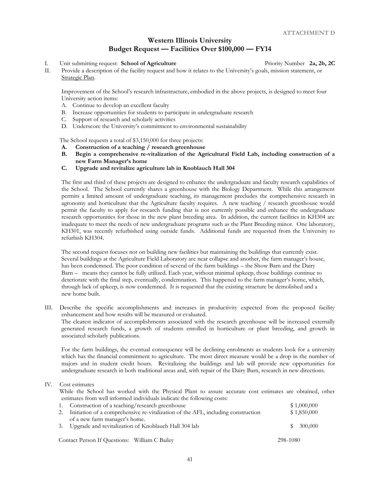# **Western Illinois University Budget Request — Facilities Over \$100,000 — FY14**

I. Unit submitting request: **School of Agriculture** Priority Number 2a, 2b, 2C

II. Provide a description of the facility request and how it relates to the University's goals, mission statement, or Strategic Plan.

Improvement of the School's research infrastructure, embodied in the above projects, is designed to meet four University action items:

- A. Continue to develop an excellent faculty
- B. Increase opportunities for students to participate in undergraduate research
- C. Support of research and scholarly activities
- D. Underscore the University's commitment to environmental sustainability

The School requests a total of \$3,150,000 for three projects:

- **A. Construction of a teaching / research greenhouse**
- **B. Begin a comprehensive re-vitalization of the Agricultural Field Lab, including construction of a new Farm Manager's home**
- **C. Upgrade and revitalize agriculture lab in Knoblauch Hall 304**

The first and third of these projects are designed to enhance the undergraduate and faculty research capabilities of the School. The School currently shares a greenhouse with the Biology Department. While this arrangement permits a limited amount of undergraduate teaching, its management precludes the comprehensive research in agronomy and horticulture that the Agriculture faculty requires. A new teaching / research greenhouse would permit the faculty to apply for research funding that is not currently possible and enhance the undergraduate research opportunities for those in the new plant breeding area. In addition, the current facilities in KH304 are inadequate to meet the needs of new undergraduate programs such as the Plant Breeding minor. One laboratory, KH301, was recently refurbished using outside funds. Additional funds are requested from the University to refurbish KH304.

The second request focuses not on building new facilities but maintaining the buildings that currently exist. Several buildings at the Agriculture Field Laboratory are near collapse and another, the farm manager's house, has been condemned. The poor condition of several of the farm buildings – the Show Barn and the Dairy Barn – means they cannot be fully utilized. Each year, without minimal upkeep, those buildings continue to deteriorate with the final step, eventually, condemnation. This happened to the farm manager's home, which, through lack of upkeep, is now condemned. It is requested that the existing structure be demolished and a new home built.

III. Describe the specific accomplishments and increases in productivity expected from the proposed facility enhancement and how results will be measured or evaluated. The clearest indicator of accomplishments associated with the research greenhouse will be increased externally generated research funds, a growth of students enrolled in horticulture or plant breeding, and growth in associated scholarly publications.

For the farm buildings, the eventual consequence will be declining enrolments as students look for a university which has the financial commitment to agriculture. The most direct measure would be a drop in the number of majors and in student credit hours. Revitalizing the buildings and lab will provide new opportunities for undergraduate research in both traditional areas and, with repair of the Dairy Barn, research in new directions.

#### IV. Cost estimates

While the School has worked with the Physical Plant to assure accurate cost estimates are obtained, other estimates from well informed individuals indicate the following costs:

| 1. Construction of a teaching/research greenhouse                                        | \$1,000,000  |
|------------------------------------------------------------------------------------------|--------------|
| 2. Initiation of a comprehensive re-vitalization of the AFL, including construction      | \$1,850,000  |
| of a new farm manager's home.<br>3. Upgrade and revitalization of Knoblauch Hall 304 lab | 300,000<br>Ж |
| Contact Person If Questions: William C Bailey                                            | 298-1080     |